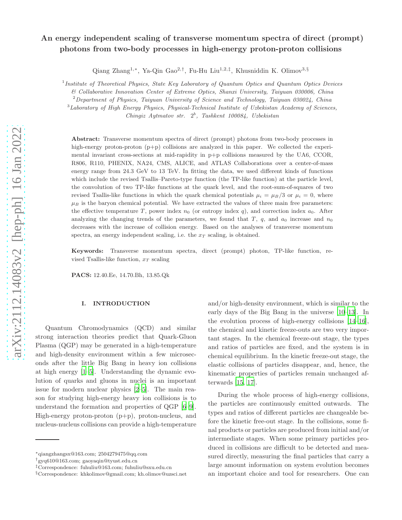# An energy independent scaling of transverse momentum spectra of direct (prompt) photons from two-body processes in high-energy proton-proton collisions

Qiang Zhang<sup>1,∗</sup>, Ya-Qin Gao<sup>2,†</sup>, Fu-Hu Liu<sup>1,2,‡</sup>, Khusniddin K. Olimov<sup>3,§</sup>

<sup>1</sup> Institute of Theoretical Physics, State Key Laboratory of Quantum Optics and Quantum Optics Devices

& Collaborative Innovation Center of Extreme Optics, Shanxi University, Taiyuan 030006, China

<sup>2</sup>Department of Physics, Taiyuan University of Science and Technology, Taiyuan 030024, China

 $3$ Laboratory of High Energy Physics, Physical-Technical Institute of Uzbekistan Academy of Sciences,

Chingiz Aytmatov str.  $2^b$ , Tashkent 100084, Uzbekistan

Abstract: Transverse momentum spectra of direct (prompt) photons from two-body processes in high-energy proton-proton (p+p) collisions are analyzed in this paper. We collected the experimental invariant cross-sections at mid-rapidity in p+p collisions measured by the UA6, CCOR, R806, R110, PHENIX, NA24, CMS, ALICE, and ATLAS Collaborations over a center-of-mass energy range from 24.3 GeV to 13 TeV. In fitting the data, we used different kinds of functions which include the revised Tsallis–Pareto-type function (the TP-like function) at the particle level, the convolution of two TP-like functions at the quark level, and the root-sum-of-squares of two revised Tsallis-like functions in which the quark chemical potentials  $\mu_i = \mu_B/3$  or  $\mu_i = 0$ , where  $\mu_B$  is the baryon chemical potential. We have extracted the values of three main free parameters: the effective temperature T, power index  $n_0$  (or entropy index q), and correction index  $a_0$ . After analyzing the changing trends of the parameters, we found that T,  $q$ , and  $a_0$  increase and  $n_0$ decreases with the increase of collision energy. Based on the analyses of transverse momentum spectra, an energy independent scaling, i.e. the  $x_T$  scaling, is obtained.

Keywords: Transverse momentum spectra, direct (prompt) photon, TP-like function, revised Tsallis-like function,  $x_T$  scaling

PACS: 12.40.Ee, 14.70.Bh, 13.85.Qk

## I. INTRODUCTION

Quantum Chromodynamics (QCD) and similar strong interaction theories predict that Quark-Gluon Plasma (QGP) may be generated in a high-temperature and high-density environment within a few microseconds after the little Big Bang in heavy ion collisions at high energy [\[1](#page-22-0)[–5\]](#page-22-1). Understanding the dynamic evolution of quarks and gluons in nuclei is an important issue for modern nuclear physics [\[2](#page-22-2)[–5\]](#page-22-1). The main reason for studying high-energy heavy ion collisions is to understand the formation and properties of QGP [\[6](#page-22-3)[–9\]](#page-22-4). High-energy proton-proton (p+p), proton-nucleus, and nucleus-nucleus collisions can provide a high-temperature

and/or high-density environment, which is similar to the early days of the Big Bang in the universe [\[10](#page-22-5)[–13](#page-22-6)]. In the evolution process of high-energy collisions [\[14](#page-22-7)[–16\]](#page-22-8), the chemical and kinetic freeze-outs are two very important stages. In the chemical freeze-out stage, the types and ratios of particles are fixed, and the system is in chemical equilibrium. In the kinetic freeze-out stage, the elastic collisions of particles disappear, and, hence, the kinematic properties of particles remain unchanged afterwards [\[15,](#page-22-9) [17\]](#page-22-10).

During the whole process of high-energy collisions, the particles are continuously emitted outwards. The types and ratios of different particles are changeable before the kinetic free-out stage. In the collisions, some final products or particles are produced from initial and/or intermediate stages. When some primary particles produced in collisions are difficult to be detected and measured directly, measuring the final particles that carry a large amount information on system evolution becomes an important choice and tool for researchers. One can

<sup>∗</sup>qiangzhangsx@163.com; 2504279475@qq.com

<sup>†</sup>gyq610@163.com; gaoyaqin@tyust.edu.cn

<sup>‡</sup>Correspondence: fuhuliu@163.com; fuhuliu@sxu.edu.cn

<sup>§</sup>Correspondence: khkolimov@gmail.com; kh.olimov@uzsci.net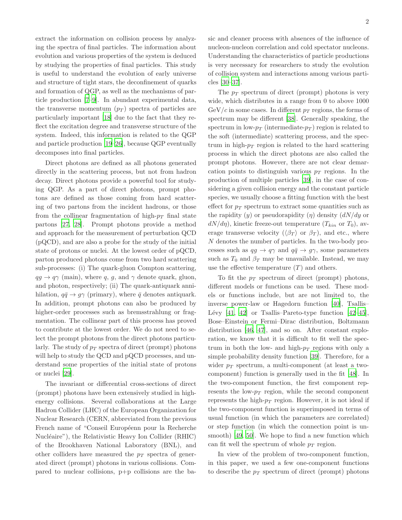extract the information on collision process by analyzing the spectra of final particles. The information about evolution and various properties of the system is deduced by studying the properties of final particles. This study is useful to understand the evolution of early universe and structure of tight stars, the deconfinement of quarks and formation of QGP, as well as the mechanisms of particle production [\[7](#page-22-11)[–9\]](#page-22-4). In abundant experimental data, the transverse momentum  $(p_T)$  spectra of particles are particularly important [\[18](#page-22-12)] due to the fact that they reflect the excitation degree and transverse structure of the system. Indeed, this information is related to the QGP and particle production [\[19](#page-22-13)[–26\]](#page-22-14), because QGP eventually decomposes into final particles.

Direct photons are defined as all photons generated directly in the scattering process, but not from hadron decay. Direct photons provide a powerful tool for studying QGP. As a part of direct photons, prompt photons are defined as those coming from hard scattering of two partons from the incident hadrons, or those from the collinear fragmentation of high- $p_T$  final state partons [\[27,](#page-22-15) [28](#page-22-16)]. Prompt photons provide a method and approach for the measurement of perturbation QCD (pQCD), and are also a probe for the study of the initial state of protons or nuclei. At the lowest order of pQCD, parton produced photons come from two hard scattering sub-processes: (i) The quark-gluon Compton scattering,  $qg \to q\gamma$  (main), where q, g, and  $\gamma$  denote quark, gluon, and photon, respectively; (ii) The quark-antiquark annihilation,  $q\bar{q} \rightarrow g\gamma$  (primary), where  $\bar{q}$  denotes antiquark. In addition, prompt photons can also be produced by higher-order processes such as bremsstrahlung or fragmentation. The collinear part of this process has proved to contribute at the lowest order. We do not need to select the prompt photons from the direct photons particularly. The study of  $p_T$  spectra of direct (prompt) photons will help to study the QCD and pQCD processes, and understand some properties of the initial state of protons or nuclei [\[29\]](#page-22-17).

The invariant or differential cross-sections of direct (prompt) photons have been extensively studied in highenergy collisions. Several collaborations at the Large Hadron Collider (LHC) of the European Organization for Nuclear Research (CERN, abbreviated from the previous French name of "Conseil Européenn pour la Recherche Nucléaire"), the Relativistic Heavy Ion Collider (RHIC) of the Brookhaven National Laboratory (BNL), and other colliders have measured the  $p_T$  spectra of generated direct (prompt) photons in various collisions. Compared to nuclear collisions, p+p collisions are the basic and cleaner process with absences of the influence of nucleon-nucleon correlation and cold spectator nucleons. Understanding the characteristics of particle productions is very necessary for researchers to study the evolution of collision system and interactions among various particles [\[30](#page-22-18)[–37\]](#page-22-19).

The  $p_T$  spectrum of direct (prompt) photons is very wide, which distributes in a range from 0 to above 1000  $GeV/c$  in some cases. In different  $p_T$  regions, the forms of spectrum may be different [\[38\]](#page-22-20). Generally speaking, the spectrum in low- $p_T$  (intermediate- $p_T$ ) region is related to the soft (intermediate) scattering process, and the spectrum in high- $p_T$  region is related to the hard scattering process in which the direct photons are also called the prompt photons. However, there are not clear demarcation points to distinguish various  $p_T$  regions. In the production of multiple particles [\[39](#page-22-21)], in the case of considering a given collision energy and the constant particle species, we usually choose a fitting function with the best effect for  $p_T$  spectrum to extract some quantities such as the rapidity  $(y)$  or pseudorapidity  $(\eta)$  density  $(dN/dy)$  or  $dN/d\eta$ , kinetic freeze-out temperature  $(T_{kin}$  or  $T_0$ ), average transverse velocity ( $\langle \beta_T \rangle$  or  $\beta_T$ ), and etc., where N denotes the number of particles. In the two-body processes such as  $qq \to q\gamma$  and  $q\bar{q} \to q\gamma$ , some parameters such as  $T_0$  and  $\beta_T$  may be unavailable. Instead, we may use the effective temperature  $(T)$  and others.

To fit the  $p_T$  spectrum of direct (prompt) photons, different models or functions can be used. These models or functions include, but are not limited to, the inverse power-law or Hagedorn function [\[40](#page-23-0)], Tsallis– Lévy  $[41, 42]$  $[41, 42]$  or Tsallis–Pareto-type function  $[42-45]$ , Bose–Einstein or Fermi–Dirac distribution, Boltzmann distribution [\[46](#page-23-4), [47](#page-23-5)], and so on. After constant exploration, we know that it is difficult to fit well the spectrum in both the low- and high- $p_T$  regions with only a simple probability density function [\[39](#page-22-21)]. Therefore, for a wider  $p_T$  spectrum, a multi-component (at least a twocomponent) function is generally used in the fit [\[48](#page-23-6)]. In the two-component function, the first component represents the low- $p_T$  region, while the second component represents the high- $p_T$  region. However, it is not ideal if the two-component function is superimposed in terms of usual function (in which the parameters are correlated) or step function (in which the connection point is unsmooth) [\[49,](#page-23-7) [50](#page-23-8)]. We hope to find a new function which can fit well the spectrum of whole  $p_T$  region.

In view of the problem of two-component function, in this paper, we used a few one-component functions to describe the  $p_T$  spectrum of direct (prompt) photons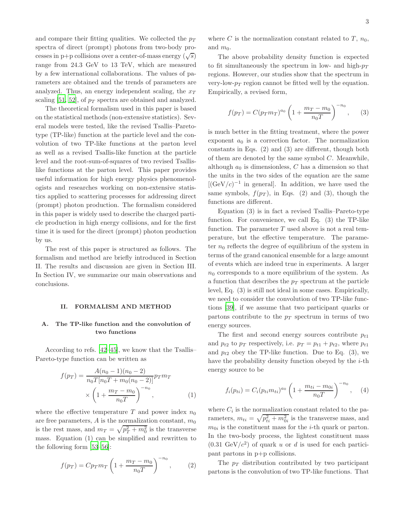and compare their fitting qualities. We collected the  $p_T$ spectra of direct (prompt) photons from two-body processes in p+p collisions over a center-of-mass energy  $(\sqrt{s})$ range from 24.3 GeV to 13 TeV, which are measured by a few international collaborations. The values of parameters are obtained and the trends of parameters are analyzed. Thus, an energy independent scaling, the  $x_T$ scaling [\[51,](#page-23-9) [52\]](#page-23-10), of  $p_T$  spectra are obtained and analyzed.

The theoretical formalism used in this paper is based on the statistical methods (non-extensive statistics). Several models were tested, like the revised Tsallis–Paretotype (TP-like) function at the particle level and the convolution of two TP-like functions at the parton level as well as a revised Tsallis-like function at the particle level and the root-sum-of-squares of two revised Tsallislike functions at the parton level. This paper provides useful information for high energy physics phenomenologists and researches working on non-extensive statistics applied to scattering processes for addressing direct (prompt) photon production. The formalism considered in this paper is widely used to describe the charged particle production in high energy collisions, and for the first time it is used for the direct (prompt) photon production by us.

The rest of this paper is structured as follows. The formalism and method are briefly introduced in Section II. The results and discussion are given in Section III. In Section IV, we summarize our main observations and conclusions.

#### II. FORMALISM AND METHOD

# A. The TP-like function and the convolution of two functions

According to refs. [\[42](#page-23-2)[–45\]](#page-23-3), we know that the Tsallis– Pareto-type function can be written as

$$
f(p_T) = \frac{A(n_0 - 1)(n_0 - 2)}{n_0 T[n_0 T + m_0(n_0 - 2)]} p_T m_T
$$
  
 
$$
\times \left(1 + \frac{m_T - m_0}{n_0 T}\right)^{-n_0}, \tag{1}
$$

where the effective temperature  $T$  and power index  $n_0$ are free parameters, A is the normalization constant,  $m_0$ is the rest mass, and  $m_T = \sqrt{p_T^2 + m_0^2}$  is the transverse mass. Equation (1) can be simplified and rewritten to the following form [\[53](#page-23-11)[–56\]](#page-23-12):

$$
f(p_T) = C p_T m_T \left( 1 + \frac{m_T - m_0}{n_0 T} \right)^{-n_0}, \qquad (2)
$$

where C is the normalization constant related to  $T$ ,  $n_0$ , and  $m_0$ .

The above probability density function is expected to fit simultaneously the spectrum in low- and high- $p_T$ regions. However, our studies show that the spectrum in very-low- $p_T$  region cannot be fitted well by the equation. Empirically, a revised form,

$$
f(p_T) = C(p_T m_T)^{a_0} \left( 1 + \frac{m_T - m_0}{n_0 T} \right)^{-n_0}, \quad (3)
$$

is much better in the fitting treatment, where the power exponent  $a_0$  is a correction factor. The normalization constants in Eqs. (2) and (3) are different, though both of them are denoted by the same symbol  $C$ . Meanwhile, although  $a_0$  is dimensionless, C has a dimension so that the units in the two sides of the equation are the same  $[({\rm GeV}/c)^{-1}$  in general]. In addition, we have used the same symbols,  $f(p_T)$ , in Eqs. (2) and (3), though the functions are different.

Equation (3) is in fact a revised Tsallis–Pareto-type function. For convenience, we call Eq. (3) the TP-like function. The parameter  $T$  used above is not a real temperature, but the effective temperature. The parameter  $n_0$  reflects the degree of equilibrium of the system in terms of the grand canonical ensemble for a large amount of events which are indeed true in experiments. A larger  $n_0$  corresponds to a more equilibrium of the system. As a function that describes the  $p_T$  spectrum at the particle level, Eq. (3) is still not ideal in some cases. Empirically, we need to consider the convolution of two TP-like functions [\[39](#page-22-21)], if we assume that two participant quarks or partons contribute to the  $p_T$  spectrum in terms of two energy sources.

The first and second energy sources contribute  $p_{t1}$ and  $p_{t2}$  to  $p_T$  respectively, i.e.  $p_T = p_{t1} + p_{t2}$ , where  $p_{t1}$ and  $p_{t2}$  obey the TP-like function. Due to Eq. (3), we have the probability density function obeyed by the  $i$ -th energy source to be

$$
f_i(p_{ti}) = C_i (p_{ti} m_{ti})^{a_0} \left( 1 + \frac{m_{ti} - m_{0i}}{n_0 T} \right)^{-n_0}, \quad (4)
$$

where  $C_i$  is the normalization constant related to the parameters,  $m_{ti} = \sqrt{p_{ti}^2 + m_{0i}^2}$  is the transverse mass, and  $m_{0i}$  is the constituent mass for the *i*-th quark or parton. In the two-body process, the lightest constituent mass  $(0.31 \text{ GeV}/c^2)$  of quark u or d is used for each participant partons in p+p collisions.

The  $p_T$  distribution contributed by two participant partons is the convolution of two TP-like functions. That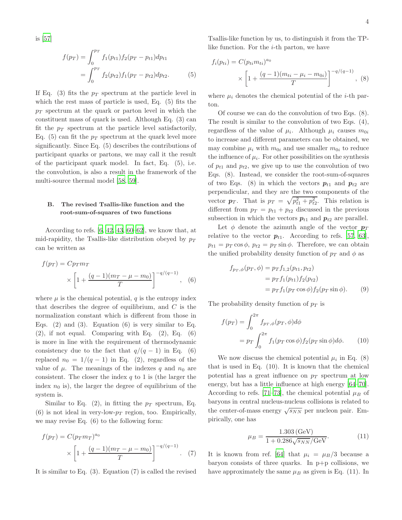is [\[57\]](#page-23-13)

$$
f(p_T) = \int_0^{p_T} f_1(p_{t1}) f_2(p_T - p_{t1}) dp_{t1}
$$
  
= 
$$
\int_0^{p_T} f_2(p_{t2}) f_1(p_T - p_{t2}) dp_{t2}.
$$
 (5)

If Eq. (3) fits the  $p_T$  spectrum at the particle level in which the rest mass of particle is used, Eq. (5) fits the  $p_T$  spectrum at the quark or parton level in which the constituent mass of quark is used. Although Eq. (3) can fit the  $p_T$  spectrum at the particle level satisfactorily, Eq. (5) can fit the  $p_T$  spectrum at the quark level more significantly. Since Eq. (5) describes the contributions of participant quarks or partons, we may call it the result of the participant quark model. In fact, Eq. (5), i.e. the convolution, is also a result in the framework of the multi-source thermal model [\[58](#page-23-14), [59](#page-23-15)].

### B. The revised Tsallis-like function and the root-sum-of-squares of two functions

According to refs.  $[6, 42, 43, 60–62]$  $[6, 42, 43, 60–62]$  $[6, 42, 43, 60–62]$  $[6, 42, 43, 60–62]$  $[6, 42, 43, 60–62]$ , we know that, at mid-rapidity, the Tsallis-like distribution obeyed by  $p_T$ can be written as

$$
f(p_T) = Cp_T m_T
$$
  
 
$$
\times \left[1 + \frac{(q-1)(m_T - \mu - m_0)}{T}\right]^{-q/(q-1)},
$$
 (6)

where  $\mu$  is the chemical potential, q is the entropy index that describes the degree of equilibrium, and  $C$  is the normalization constant which is different from those in Eqs.  $(2)$  and  $(3)$ . Equation  $(6)$  is very similar to Eq.  $(2)$ , if not equal. Comparing with Eq.  $(2)$ , Eq.  $(6)$ is more in line with the requirement of thermodynamic consistency due to the fact that  $q/(q-1)$  in Eq. (6) replaced  $n_0 = 1/(q-1)$  in Eq. (2), regardless of the value of  $\mu$ . The meanings of the indexes q and  $n_0$  are consistent. The closer the index  $q$  to 1 is (the larger the index  $n_0$  is), the larger the degree of equilibrium of the system is.

Similar to Eq. (2), in fitting the  $p_T$  spectrum, Eq. (6) is not ideal in very-low- $p_T$  region, too. Empirically, we may revise Eq. (6) to the following form:

$$
f(p_T) = C(p_T m_T)^{a_0}
$$
  
 
$$
\times \left[1 + \frac{(q-1)(m_T - \mu - m_0)}{T}\right]^{-q/(q-1)}.
$$
 (7)

It is similar to Eq. (3). Equation (7) is called the revised

Tsallis-like function by us, to distinguish it from the TPlike function. For the *i*-th parton, we have

$$
f_i(p_{ti}) = C(p_{ti}m_{ti})^{a_0}
$$
  
 
$$
\times \left[1 + \frac{(q-1)(m_{ti} - \mu_i - m_{0i})}{T}\right]^{-q/(q-1)}, (8)
$$

where  $\mu_i$  denotes the chemical potential of the *i*-th parton.

Of course we can do the convolution of two Eqs. (8). The result is similar to the convolution of two Eqs. (4), regardless of the value of  $\mu_i$ . Although  $\mu_i$  causes  $m_{0i}$ to increase and different parameters can be obtained, we may combine  $\mu_i$  with  $m_{0i}$  and use smaller  $m_{0i}$  to reduce the influence of  $\mu_i$ . For other possibilities on the synthesis of  $p_{t1}$  and  $p_{t2}$ , we give up to use the convolution of two Eqs. (8). Instead, we consider the root-sum-of-squares of two Eqs. (8) in which the vectors  $p_{t1}$  and  $p_{t2}$  are perpendicular, and they are the two components of the vector  $p_T$ . That is  $p_T = \sqrt{p_{t1}^2 + p_{t2}^2}$ . This relation is different from  $p_T = p_{t1} + p_{t2}$  discussed in the previous subsection in which the vectors  $p_{t1}$  and  $p_{t2}$  are parallel.

Let  $\phi$  denote the azimuth angle of the vector  $p_T$ relative to the vector  $p_{t1}$ . According to refs. [\[57](#page-23-13), [63\]](#page-23-19),  $p_{t1} = p_T \cos \phi$ ,  $p_{t2} = p_T \sin \phi$ . Therefore, we can obtain the unified probability density function of  $p_T$  and  $\phi$  as

$$
f_{p_T, \phi}(p_T, \phi) = p_T f_{1,2}(p_{t1}, p_{t2})
$$
  
=  $p_T f_1(p_{t1}) f_2(p_{t2})$   
=  $p_T f_1(p_T \cos \phi) f_2(p_T \sin \phi)$ . (9)

The probability density function of  $p_T$  is

$$
f(p_T) = \int_0^{2\pi} f_{p_T,\phi}(p_T,\phi)d\phi
$$
  
=  $p_T \int_0^{2\pi} f_1(p_T \cos \phi) f_2(p_T \sin \phi)d\phi.$  (10)

We now discuss the chemical potential  $\mu_i$  in Eq. (8) that is used in Eq. (10). It is known that the chemical potential has a great influence on  $p_T$  spectrum at low energy, but has a little influence at high energy [\[64](#page-23-20)[–70\]](#page-23-21). According to refs. [\[71](#page-23-22)[–73\]](#page-23-23), the chemical potential  $\mu_B$  of baryons in central nucleus-nucleus collisions is related to the center-of-mass energy  $\sqrt{s_{NN}}$  per nucleon pair. Empirically, one has

$$
\mu_B = \frac{1.303 \, (\text{GeV})}{1 + 0.286 \sqrt{s_{NN}} / \text{GeV}}.\tag{11}
$$

It is known from ref. [\[64\]](#page-23-20) that  $\mu_i = \mu_B/3$  because a baryon consists of three quarks. In  $p+p$  collisions, we have approximately the same  $\mu_B$  as given is Eq. (11). In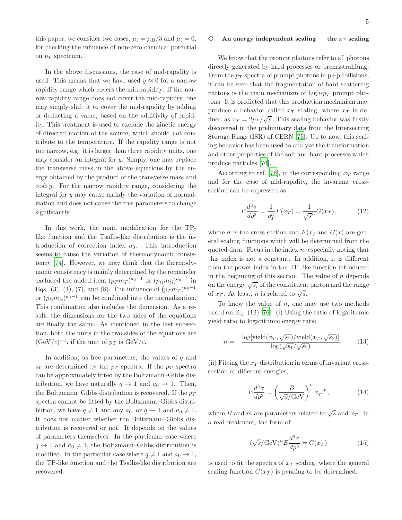this paper, we consider two cases,  $\mu_i = \mu_B/3$  and  $\mu_i = 0$ , for checking the influence of non-zero chemical potential on  $p_T$  spectrum.

In the above discussions, the case of mid-rapidity is used. This means that we have used  $y \approx 0$  for a narrow rapidity range which covers the mid-rapidity. If the narrow rapidity range does not cover the mid-rapidity, one may simply shift it to cover the mid-rapidity by adding or deducting a value, based on the additivity of rapidity. This treatment is used to exclude the kinetic energy of directed motion of the source, which should not contribute to the temperature. If the rapidity range is not too narrow, e.g. it is larger than three rapidity units, one may consider an integral for y. Simply, one may replace the transverse mass in the above equations by the energy obtained by the product of the transverse mass and  $\cosh y$ . For the narrow rapidity range, considering the integral for y may cause mainly the variation of normalization and does not cause the free parameters to change significantly.

In this work, the main modification for the TPlike function and the Tsallis-like distribution is the introduction of correction index  $a_0$ . This introduction seems to cause the variation of thermodynamic consistency [\[74](#page-23-24)]. However, we may think that the thermodynamic consistency is mainly determined by the remainder excluded the added item  $(p_T m_T)^{a_0-1}$  or  $(p_{ti} m_{ti})^{a_0-1}$  in Eqs. (3), (4), (7), and (8). The influence of  $(p_T m_T)^{a_0-1}$ or  $(p_{ti}m_{ti})^{a_0-1}$  can be combined into the normalization. This combination also includes the dimension. As a result, the dimensions for the two sides of the equations are finally the same. As mentioned in the last subsection, both the units in the two sides of the equations are  $(\text{GeV}/c)^{-1}$ , if the unit of  $p_T$  is  $\text{GeV}/c$ .

In addition, as free parameters, the values of  $q$  and  $a_0$  are determined by the  $p_T$  spectra. If the  $p_T$  spectra can be approximately fitted by the Boltzmann–Gibbs distribution, we have naturally  $q \to 1$  and  $a_0 \to 1$ . Then, the Boltzmann–Gibbs distribution is recovered. If the  $p_T$ spectra cannot be fitted by the Boltzmann–Gibbs distribution, we have  $q \neq 1$  and any  $a_0$ , or  $q \to 1$  and  $a_0 \neq 1$ . It does not matter whether the Boltzmann–Gibbs distribution is recovered or not. It depends on the values of parameters themselves. In the particular case where  $q \rightarrow 1$  and  $a_0 \neq 1$ , the Boltzmann–Gibbs distribution is modified. In the particular case where  $q \neq 1$  and  $a_0 \rightarrow 1$ , the TP-like function and the Tsallis-like distribution are recovered.

#### C. An energy independent scaling — the  $x_T$  scaling

We know that the prompt photons refer to all photons directly generated by hard processes or bremsstrahlung. From the  $p_T$  spectra of prompt photons in p+p collisions, it can be seen that the fragmentation of hard scattering partons is the main mechanism of high- $p_T$  prompt photons. It is predicted that this production mechanism may produce a behavior called  $x_T$  scaling, where  $x_T$  is defined as  $x_T = 2p_T/\sqrt{s}$ . This scaling behavior was firstly discovered in the preliminary data from the Intersecting Storage Rings (ISR) of CERN [\[75\]](#page-23-25). Up to now, this scaling behavior has been used to analyze the transformation and other properties of the soft and hard processes which produce particles [\[76\]](#page-23-26).

According to ref. [\[76\]](#page-23-26), in the corresponding  $x_T$  range and for the case of mid-rapidity, the invariant crosssection can be expressed as

$$
E\frac{d^3\sigma}{dp^3} = \frac{1}{p_T^n}F(x_T) = \frac{1}{\sqrt{s}^n}G(x_T),
$$
 (12)

where  $\sigma$  is the cross-section and  $F(x)$  and  $G(x)$  are general scaling functions which will be determined from the quoted data. Focus in the index  $n$ , especially noting that this index is not a constant. In addition, it is different from the power index in the TP-like function introduced in the beginning of this section. The value of  $n$  depends on the energy  $\sqrt{s_i}$  of the constituent parton and the range of  $x_T$ . At least, n is related to  $\sqrt{s}$ .

To know the value of  $n$ , one may use two methods based on Eq. (12) [\[76\]](#page-23-26): (i) Using the ratio of logarithmic yield ratio to logarithmic energy ratio

$$
n = -\frac{\log[\text{yield}(x_T, \sqrt{s_1})/\text{yield}(x_T, \sqrt{s_2})]}{\log(\sqrt{s_1}/\sqrt{s_2})};
$$
 (13)

(ii) Fitting the  $x_T$  distribution in terms of invariant crosssection at different energies,

$$
E\frac{d^3\sigma}{dp^3} = \left(\frac{B}{\sqrt{s}/\text{GeV}}\right)^n x_T^{-m},\tag{14}
$$

where B and m are parameters related to  $\sqrt{s}$  and  $x_T$ . In a real treatment, the form of

$$
(\sqrt{s}/\text{GeV})^n E \frac{d^3 \sigma}{dp^3} = G(x_T) \tag{15}
$$

is used to fit the spectra of  $x_T$  scaling, where the general scaling function  $G(x_T)$  is pending to be determined.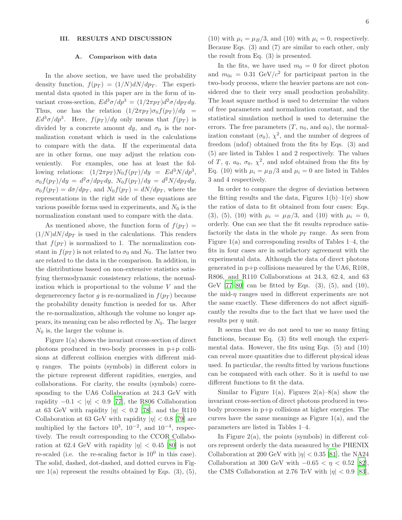#### III. RESULTS AND DISCUSSION

#### A. Comparison with data

In the above section, we have used the probability density function,  $f(p_T) = (1/N)dN/dp_T$ . The experimental data quoted in this paper are in the form of invariant cross-section,  $E d^3\sigma/dp^3 = (1/2\pi p_T) d^2\sigma/dp_T dy$ . Thus, one has the relation  $(1/2\pi p_T)\sigma_0 f(p_T)/dy =$  $Ed^3\sigma/dp^3$ . Here,  $f(p_T)/dy$  only means that  $f(p_T)$  is divided by a concrete amount dy, and  $\sigma_0$  is the normalization constant which is used in the calculations to compare with the data. If the experimental data are in other forms, one may adjust the relation conveniently. For examples, one has at least the following relations:  $(1/2\pi p_T)N_0 f(p_T)/dy = Ed^3N/dp^3$ ,  $\sigma_0 f(p_T)/dy = d^2\sigma/dp_T dy$ ,  $N_0 f(p_T)/dy = d^2N/dp_T dy$ ,  $\sigma_0 f(p_T) = d\sigma/dp_T$ , and  $N_0 f(p_T) = dN/dp_T$ , where the representations in the right side of these equations are various possible forms used in experiments, and  $N_0$  is the normalization constant used to compare with the data.

As mentioned above, the function form of  $f(p_T)$  =  $(1/N)dN/dp_T$  is used in the calculations. This renders that  $f(p_T)$  is normalized to 1. The normalization constant in  $f(p_T)$  is not related to  $\sigma_0$  and  $N_0$ . The latter two are related to the data in the comparison. In addition, in the distributions based on non-extensive statistics satisfying thermodynamic consistency relations, the normalization which is proportional to the volume  $V$  and the degenerecency factor g is re-normalized in  $f(p_T)$  because the probability density function is needed for us. After the re-normalization, although the volume no longer appears, its meaning can be also reflected by  $N_0$ . The larger  $N_0$  is, the larger the volume is.

Figure 1(a) shows the invariant cross-section of direct photons produced in two-body processes in p+p collisions at different collision energies with different mid- $\eta$  ranges. The points (symbols) in different colors in the picture represent different rapidities, energies, and collaborations. For clarity, the results (symbols) corresponding to the UA6 Collaboration at 24.3 GeV with rapidity  $-0.1 < |\eta| < 0.9$  [\[77](#page-23-27)], the R806 Collaboration at 63 GeV with rapidity  $|\eta| < 0.2$  [\[78\]](#page-23-28), and the R110 Collaboration at 63 GeV with rapidity  $|\eta| < 0.8$  [\[79\]](#page-23-29) are multiplied by the factors  $10^3$ ,  $10^{-2}$ , and  $10^{-4}$ , respectively. The result corresponding to the CCOR Collaboration at 62.4 GeV with rapidity  $|\eta| < 0.45$  [\[80\]](#page-23-30) is not re-scaled (i.e. the re-scaling factor is  $10^0$  in this case). The solid, dashed, dot-dashed, and dotted curves in Figure  $1(a)$  represent the results obtained by Eqs.  $(3)$ ,  $(5)$ ,

(10) with  $\mu_i = \mu_B/3$ , and (10) with  $\mu_i = 0$ , respectively. Because Eqs. (3) and (7) are similar to each other, only the result from Eq. (3) is presented.

In the fits, we have used  $m_0 = 0$  for direct photon and  $m_{0i} = 0.31 \text{ GeV}/c^2$  for participant parton in the two-body process, where the heavier partons are not considered due to their very small production probability. The least square method is used to determine the values of free parameters and normalization constant, and the statistical simulation method is used to determine the errors. The free parameters  $(T, n_0, \text{ and } a_0)$ , the normalization constant  $(\sigma_0)$ ,  $\chi^2$ , and the number of degrees of freedom (ndof) obtained from the fits by Eqs. (3) and (5) are listed in Tables 1 and 2 respectively. The values of T, q,  $a_0$ ,  $\sigma_0$ ,  $\chi^2$ , and ndof obtained from the fits by Eq. (10) with  $\mu_i = \mu_B/3$  and  $\mu_i = 0$  are listed in Tables 3 and 4 respectively.

In order to compare the degree of deviation between the fitting results and the data, Figures  $1(b)-1(e)$  show the ratios of data to fit obtained from four cases: Eqs. (3), (5), (10) with  $\mu_i = \mu_B/3$ , and (10) with  $\mu_i = 0$ , orderly. One can see that the fit results reproduce satisfactorily the data in the whole  $p_T$  range. As seen from Figure 1(a) and corresponding results of Tables 1–4, the fits in four cases are in satisfactory agreement with the experimental data. Although the data of direct photons generated in p+p collisions measured by the UA6, R108, R806, and R110 Collaborations at 24.3, 62.4, and 63 GeV  $[77-80]$  can be fitted by Eqs.  $(3)$ ,  $(5)$ , and  $(10)$ , the mid- $\eta$  ranges used in different experiments are not the same exactly. These differences do not affect significantly the results due to the fact that we have used the results per  $\eta$  unit.

It seems that we do not need to use so many fitting functions, because Eq. (3) fits well enough the experimental data. However, the fits using Eqs. (5) and (10) can reveal more quantities due to different physical ideas used. In particular, the results fitted by various functions can be compared with each other. So it is useful to use different functions to fit the data.

Similar to Figure 1(a), Figures  $2(a)-8(a)$  show the invariant cross-section of direct photons produced in twobody processes in p+p collisions at higher energies. The curves have the same meanings as Figure 1(a), and the parameters are listed in Tables 1–4.

In Figure  $2(a)$ , the points (symbols) in different colors represent orderly the data measured by the PHENIX Collaboration at 200 GeV with  $|\eta| < 0.35$  [\[81\]](#page-23-31), the NA24 Collaboration at 300 GeV with  $-0.65 < \eta < 0.52$  [\[82\]](#page-23-32), the CMS Collaboration at 2.76 TeV with  $|\eta| < 0.9$  [\[83\]](#page-23-33),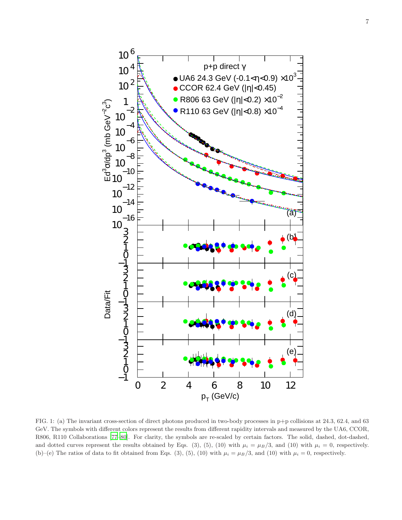

FIG. 1: (a) The invariant cross-section of direct photons produced in two-body processes in p+p collisions at 24.3, 62.4, and 63 GeV. The symbols with different colors represent the results from different rapidity intervals and measured by the UA6, CCOR, R806, R110 Collaborations [\[77](#page-23-27)[–80\]](#page-23-30). For clarity, the symbols are re-scaled by certain factors. The solid, dashed, dot-dashed, and dotted curves represent the results obtained by Eqs. (3), (5), (10) with  $\mu_i = \mu_B/3$ , and (10) with  $\mu_i = 0$ , respectively. (b)–(e) The ratios of data to fit obtained from Eqs. (3), (5), (10) with  $\mu_i = \mu_B/3$ , and (10) with  $\mu_i = 0$ , respectively.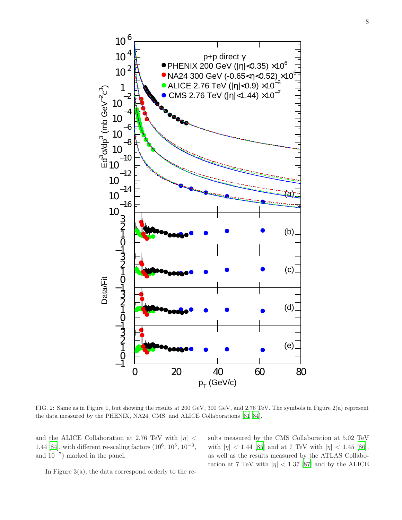

FIG. 2: Same as in Figure 1, but showing the results at 200 GeV, 300 GeV, and 2.76 TeV. The symbols in Figure 2(a) represent the data measured by the PHENIX, NA24, CMS, and ALICE Collaborations [\[81](#page-23-31)[–84](#page-23-34)].

and the ALICE Collaboration at 2.76 TeV with  $|\eta|$  < 1.44 [\[84](#page-23-34)], with different re-scaling factors  $(10^6, 10^5, 10^{-3},$ and 10<sup>−</sup><sup>7</sup> ) marked in the panel.

sults measured by the CMS Collaboration at 5.02 TeV with  $|\eta| < 1.44$  [\[85](#page-23-35)] and at 7 TeV with  $|\eta| < 1.45$  [\[86\]](#page-23-36), as well as the results measured by the ATLAS Collaboration at 7 TeV with  $|\eta|$  < 1.37 [\[87\]](#page-23-37) and by the ALICE

In Figure  $3(a)$ , the data correspond orderly to the re-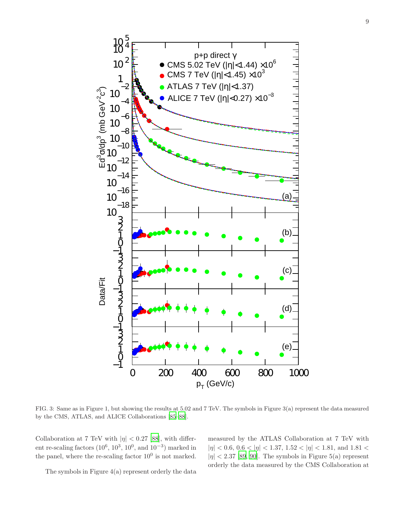

FIG. 3: Same as in Figure 1, but showing the results at 5.02 and 7 TeV. The symbols in Figure 3(a) represent the data measured by the CMS, ATLAS, and ALICE Collaborations [\[85](#page-23-35)[–88](#page-23-38)].

Collaboration at 7 TeV with  $|\eta| < 0.27$  [\[88](#page-23-38)], with different re-scaling factors  $(10^6, 10^3, 10^0, \text{ and } 10^{-3})$  marked in the panel, where the re-scaling factor  $10^0$  is not marked.

measured by the ATLAS Collaboration at 7 TeV with  $|\eta|$  < 0.6, 0.6 <  $|\eta|$  < 1.37, 1.52 <  $|\eta|$  < 1.81, and 1.81 <  $|\eta|$  < 2.37 [\[89,](#page-23-39) [90\]](#page-23-40). The symbols in Figure 5(a) represent orderly the data measured by the CMS Collaboration at

The symbols in Figure 4(a) represent orderly the data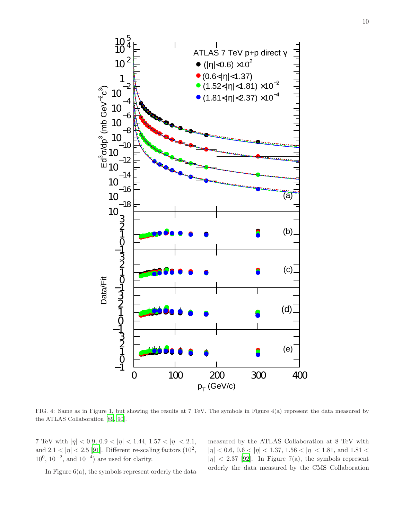

FIG. 4: Same as in Figure 1, but showing the results at 7 TeV. The symbols in Figure 4(a) represent the data measured by the ATLAS Collaboration [\[89](#page-23-39), [90](#page-23-40)].

7 TeV with  $|\eta| < 0.9, 0.9 < |\eta| < 1.44, 1.57 < |\eta| < 2.1,$ and  $2.1 < |\eta| < 2.5$  [\[91](#page-23-41)]. Different re-scaling factors  $(10^2,$  $10^0$ ,  $10^{-2}$ , and  $10^{-4}$ ) are used for clarity.

In Figure  $6(a)$ , the symbols represent orderly the data

measured by the ATLAS Collaboration at 8 TeV with  $|\eta|$  < 0.6, 0.6 <  $|\eta|$  < 1.37, 1.56 <  $|\eta|$  < 1.81, and 1.81 <  $|\eta|$  < 2.37 [\[92\]](#page-24-0). In Figure 7(a), the symbols represent orderly the data measured by the CMS Collaboration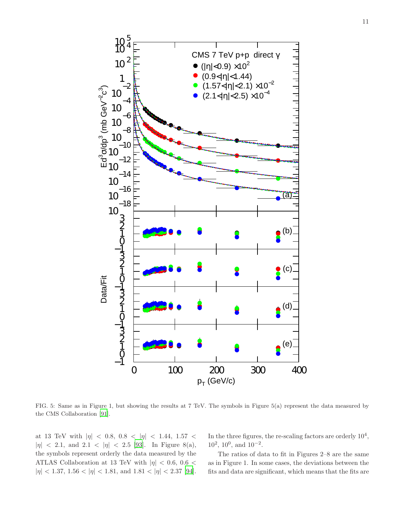

FIG. 5: Same as in Figure 1, but showing the results at 7 TeV. The symbols in Figure 5(a) represent the data measured by the CMS Collaboration [\[91](#page-23-41)].

at 13 TeV with  $|\eta|$  < 0.8, 0.8 <  $|\eta|$  < 1.44, 1.57 <  $|\eta|$  < 2.1, and 2.1 <  $|\eta|$  < 2.5 [\[93\]](#page-24-1). In Figure 8(a), the symbols represent orderly the data measured by the ATLAS Collaboration at 13 TeV with  $|\eta|$  < 0.6, 0.6 <  $|\eta|$  < 1.37, 1.56 <  $|\eta|$  < 1.81, and 1.81 <  $|\eta|$  < 2.37 [\[94\]](#page-24-2). In the three figures, the re-scaling factors are orderly  $10^4$ ,  $10^2$ ,  $10^0$ , and  $10^{-2}$ .

The ratios of data to fit in Figures 2–8 are the same as in Figure 1. In some cases, the deviations between the fits and data are significant, which means that the fits are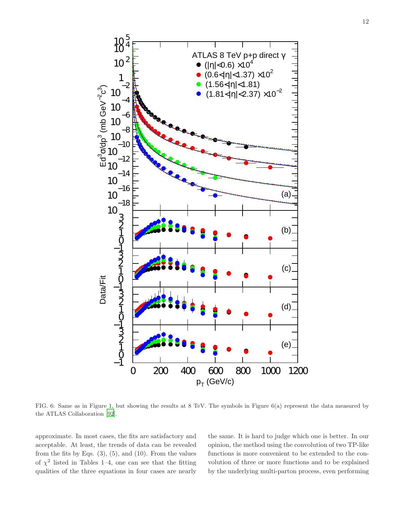

FIG. 6: Same as in Figure 1, but showing the results at 8 TeV. The symbols in Figure 6(a) represent the data measured by the ATLAS Collaboration [\[92](#page-24-0)].

approximate. In most cases, the fits are satisfactory and acceptable. At least, the trends of data can be revealed from the fits by Eqs.  $(3)$ ,  $(5)$ , and  $(10)$ . From the values of  $\chi^2$  listed in Tables 1–4, one can see that the fitting qualities of the three equations in four cases are nearly

the same. It is hard to judge which one is better. In our opinion, the method using the convolution of two TP-like functions is more convenient to be extended to the convolution of three or more functions and to be explained by the underlying multi-parton process, even performing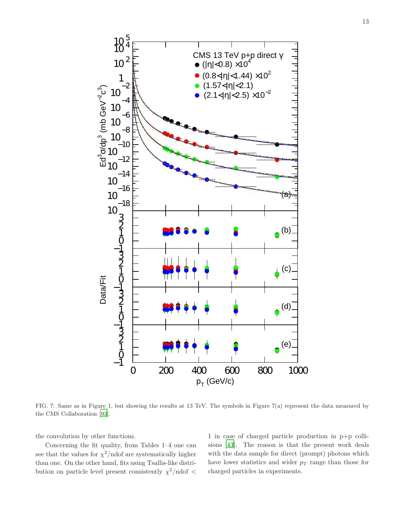

FIG. 7: Same as in Figure 1, but showing the results at 13 TeV. The symbols in Figure 7(a) represent the data measured by the CMS Collaboration [\[93](#page-24-1)].

the convolution by other functions.

Concerning the fit quality, from Tables 1–4 one can see that the values for  $\chi^2$ /ndof are systematically higher than one. On the other hand, fits using Tsallis-like distribution on particle level present consistently  $\chi^2/\text{ndof}$  <

1 in case of charged particle production in p+p collisions [\[43\]](#page-23-16). The reason is that the present work deals with the data sample for direct (prompt) photons which have lower statistics and wider  $p_T$  range than those for charged particles in experiments.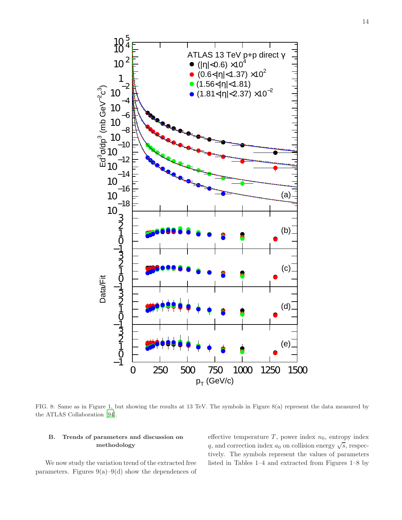

FIG. 8: Same as in Figure 1, but showing the results at 13 TeV. The symbols in Figure 8(a) represent the data measured by the ATLAS Collaboration [\[94](#page-24-2)].

# B. Trends of parameters and discussion on methodology

We now study the variation trend of the extracted free parameters. Figures  $9(a)-9(d)$  show the dependences of effective temperature  $T$ , power index  $n_0$ , entropy index q, and correction index  $a_0$  on collision energy  $\sqrt{s}$ , respectively. The symbols represent the values of parameters listed in Tables 1–4 and extracted from Figures 1–8 by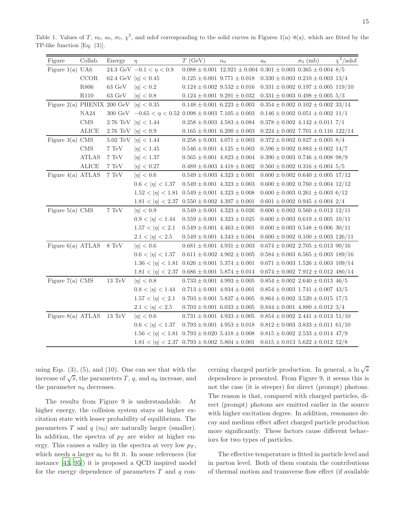| Figure                                     | Collab.          | Energy                  | $\eta$                                                            | T(GeV)                                | n <sub>0</sub>                                                               | a <sub>0</sub>                           | $\sigma_0$ (mb)                              | $\chi^2/\text{ndof}$ |
|--------------------------------------------|------------------|-------------------------|-------------------------------------------------------------------|---------------------------------------|------------------------------------------------------------------------------|------------------------------------------|----------------------------------------------|----------------------|
| Figure 1(a) $U A6$                         |                  |                         | 24.3 GeV $-0.1 < \eta < 0.9$                                      |                                       | $0.088 \pm 0.001$ 12.921 $\pm$ 0.004 0.301 $\pm$ 0.003 0.365 $\pm$ 0.004 8/5 |                                          |                                              |                      |
|                                            | CCOR             |                         | 62.4 GeV $ \eta  < 0.45$                                          |                                       | $0.125 \pm 0.001$ $9.771 \pm 0.018$                                          | $0.330 \pm 0.003$ $0.210 \pm 0.003$ 13/4 |                                              |                      |
|                                            | R806             | $63 \text{ GeV}$        | $ \eta  < 0.2$                                                    |                                       | $0.124 \pm 0.002$ $\, 9.532 \pm 0.016$                                       |                                          | $0.331 \pm 0.002$ $0.197 \pm 0.005$ 119/10   |                      |
|                                            | R <sub>110</sub> | $63 \text{ GeV}$        | $ \eta  < 0.8$                                                    | $0.124 \pm 0.001$ $9.291 \pm 0.032$   |                                                                              |                                          | $0.331 \pm 0.003$ $0.498 \pm 0.005$ 5/3      |                      |
| Figure 2(a) PHENIX 200 GeV $ \eta  < 0.35$ |                  |                         |                                                                   | $0.148 \pm 0.001$ $6.223 \pm 0.003$   |                                                                              |                                          | $0.354 \pm 0.002$ $0.102 \pm 0.002$ 33/14    |                      |
|                                            | NA <sub>24</sub> |                         | 300 GeV $-0.65 < \eta < 0.52$ 0.098 $\pm$ 0.003 7.105 $\pm$ 0.003 |                                       |                                                                              |                                          | $0.146 \pm 0.002$ $0.051 \pm 0.002$ $11/1$   |                      |
|                                            | $\rm CMS$        |                         | 2.76 TeV $ \eta  < 1.44$                                          | $0.258 \pm 0.003$ $\ 4.583 \pm 0.084$ |                                                                              |                                          | $0.378 \pm 0.002$ 4.142 $\pm$ 0.011 7/1      |                      |
|                                            | ALICE            | 2.76 TeV $ \eta  < 0.9$ |                                                                   | $0.165 \pm 0.001$ 6.200 $\pm$ 0.003   |                                                                              |                                          | $0.224 \pm 0.002$ 7.701 $\pm$ 0.116 122/14   |                      |
| Figure $3(a)$ CMS                          |                  |                         | 5.02 TeV $ \eta  < 1.44$                                          | $0.258 \pm 0.001$ 4.071 $\pm$ 0.003   |                                                                              |                                          | $0.372 \pm 0.002$ $0.827 \pm 0.005$ 8/4      |                      |
|                                            | $\rm CMS$        | $7~\mathrm{TeV}$        | $ \eta  < 1.45$                                                   | $0.546 \pm 0.001$ $4.125 \pm 0.003$   |                                                                              |                                          | $0.596 \pm 0.002$ $0.883 \pm 0.002$ 14/7     |                      |
|                                            | <b>ATLAS</b>     | $7~\mathrm{TeV}$        | $ \eta  < 1.37$                                                   | $0.565 \pm 0.001$ 4.823 $\pm$ 0.004   |                                                                              |                                          | $0.390 \pm 0.003$ $0.746 \pm 0.008$ 98/9     |                      |
|                                            | ALICE            | $7~\mathrm{TeV}$        | $ \eta  < 0.27$                                                   | $0.489 \pm 0.003$ 4.418 $\pm$ 0.002   |                                                                              |                                          | $0.560 \pm 0.002$ $0.316 \pm 0.004$ 5/5      |                      |
| Figure $4(a)$ ATLAS                        |                  | $7~\mathrm{TeV}$        | $ \eta  < 0.6$                                                    | $0.549 \pm 0.003$ 4.323 $\pm$ 0.001   |                                                                              |                                          | $0.600 \pm 0.002$ $0.640 \pm 0.005$ 17/12    |                      |
|                                            |                  |                         | $0.6 <  \eta  < 1.37$                                             | $0.549 \pm 0.001$ $4.323 \pm 0.003$   |                                                                              |                                          | $0.600 \pm 0.002$ $0.760 \pm 0.004$ 12/12    |                      |
|                                            |                  |                         | $1.52 <  \eta  < 1.81$ $0.549 \pm 0.001$ $4.323 \pm 0.008$        |                                       |                                                                              |                                          | $0.600 \pm 0.003$ $0.261 \pm 0.003$ 6/12     |                      |
|                                            |                  |                         | $1.81 <  \eta  < 2.37$ $0.550 \pm 0.002$ $4.397 \pm 0.001$        |                                       |                                                                              |                                          | $0.601 \pm 0.002$ $0.945 \pm 0.004$ 2/4      |                      |
| Figure $5(a)$ CMS                          |                  | $7~\mathrm{TeV}$        | $ \eta  < 0.9$                                                    | $0.549 \pm 0.001$ $4.323 \pm 0.026$   |                                                                              |                                          | $0.600 \pm 0.002$ $0.560 \pm 0.012$ 12/11    |                      |
|                                            |                  |                         | $0.9 <  \eta  < 1.44$                                             | $0.559 \pm 0.001$ 4.323 $\pm$ 0.025   |                                                                              |                                          | $0.600 \pm 0.003$ $0.619 \pm 0.005$ $10/11$  |                      |
|                                            |                  |                         | $1.57 <  \eta  < 2.1$                                             | $0.549 \pm 0.001$ 4.463 $\pm$ 0.001   |                                                                              |                                          | $0.600 \pm 0.003$ $0.548 \pm 0.006$ 30/11    |                      |
|                                            |                  |                         | $2.1 <  \eta  < 2.5$                                              | $0.549 \pm 0.001$ $4.343 \pm 0.004$   |                                                                              |                                          | $0.600 \pm 0.002$ $0.100 \pm 0.003$ $126/11$ |                      |
| Figure $6(a)$ ATLAS $8 \text{ TeV}$        |                  |                         | $ \eta  < 0.6$                                                    | $0.681 \pm 0.001$ 4.931 $\pm$ 0.003   |                                                                              |                                          | $0.674 \pm 0.002$ $2.705 \pm 0.013$ 90/16    |                      |
|                                            |                  |                         | $0.6 <  \eta  < 1.37$                                             |                                       | $0.611 \pm 0.002$ 4.902 $\pm$ 0.005                                          |                                          | $0.584 \pm 0.003$ 6.565 $\pm$ 0.003 189/16   |                      |
|                                            |                  |                         | $1.36 <  \eta  < 1.81$ $0.626 \pm 0.001$ $5.374 \pm 0.001$        |                                       |                                                                              |                                          | $0.671 \pm 0.003$ $1.526 \pm 0.003$ $109/14$ |                      |
|                                            |                  |                         | $1.81 <  \eta  < 2.37$ $0.686 \pm 0.001$ $5.874 \pm 0.014$        |                                       |                                                                              |                                          | $0.674 \pm 0.002$ 7.912 $\pm$ 0.012 480/14   |                      |
| Figure $7(a)$ CMS                          |                  | $13~\mathrm{TeV}$       | $ \eta  < 0.8$                                                    | $0.733 \pm 0.001$ 4.993 $\pm$ 0.005   |                                                                              |                                          | $0.854 \pm 0.002$ $2.640 \pm 0.013$ $46/5$   |                      |
|                                            |                  |                         | $0.8 <  \eta  < 1.44$                                             | $0.713 \pm 0.001$ 4.934 $\pm$ 0.001   |                                                                              |                                          | $0.854 \pm 0.003$ 1.741 $\pm$ 0.007 43/5     |                      |
|                                            |                  |                         | $1.57 <  \eta  < 2.1$                                             | $0.703 \pm 0.001$ 5.837 $\pm$ 0.005   |                                                                              |                                          | $0.864 \pm 0.002$ 3.520 $\pm$ 0.015 17/5     |                      |
|                                            |                  |                         | $2.1 <  \eta  < 2.5$                                              | $0.703 \pm 0.001$ $6.033 \pm 0.005$   |                                                                              |                                          | $0.844 \pm 0.001$ 4.880 $\pm$ 0.012 3/4      |                      |
| Figure $8(a)$ ATLAS                        |                  | $13~\mathrm{TeV}$       | $ \eta  < 0.6$                                                    | $0.731 \pm 0.001$ 4.933 $\pm$ 0.005   |                                                                              |                                          | $0.854 \pm 0.002$ 2.441 $\pm$ 0.013 51/10    |                      |
|                                            |                  |                         | $0.6 <  \eta  < 1.37$                                             | $0.793 \pm 0.001$ $4.953 \pm 0.018$   |                                                                              |                                          | $0.812 \pm 0.003$ 3.833 $\pm$ 0.011 61/10    |                      |
|                                            |                  |                         | $1.56 <  \eta  < 1.81$ $0.793 \pm 0.020$ $5.418 \pm 0.008$        |                                       |                                                                              |                                          | $0.815 \pm 0.002$ $2.533 \pm 0.014$ 47/9     |                      |
|                                            |                  |                         | $1.81 <  \eta  < 2.37$ $0.793 \pm 0.002$ $5.804 \pm 0.001$        |                                       |                                                                              |                                          | $0.615 \pm 0.013$ 5.622 $\pm$ 0.012 52/8     |                      |

Table 1. Values of T,  $n_0$ ,  $a_0$ ,  $\sigma_0$ ,  $\chi^2$ , and ndof corresponding to the solid curves in Figures 1(a)–8(a), which are fitted by the TP-like function [Eq. (3)].

using Eqs.  $(3)$ ,  $(5)$ , and  $(10)$ . One can see that with the increase of  $\sqrt{s}$ , the parameters T, q, and  $a_0$  increase, and the parameter  $n_0$  decreases.

The results from Figure 9 is understandable. At higher energy, the collision system stays at higher excitation state with lesser probability of equilibrium. The parameters T and  $q$  ( $n_0$ ) are naturally larger (smaller). In addition, the spectra of  $p_T$  are wider at higher energy. This causes a valley in the spectra at very low  $p_T$ , which needs a larger  $a_0$  to fit it. In some references (for instance [\[43](#page-23-16), [95](#page-24-3)]) it is proposed a QCD inspired model for the energy dependence of parameters  $T$  and  $q$  con-

cerning charged particle production. In general, a  $\ln \sqrt{s}$ dependence is presented. From Figure 9, it seems this is not the case (it is steeper) for direct (prompt) photons. The reason is that, compared with charged particles, direct (prompt) photons are emitted earlier in the source with higher excitation degree. In addition, resonance decay and medium effect affect charged particle production more significantly. These factors cause different behaviors for two types of particles.

The effective temperature is fitted in particle level and in parton level. Both of them contain the contributions of thermal motion and transverse flow effect (if available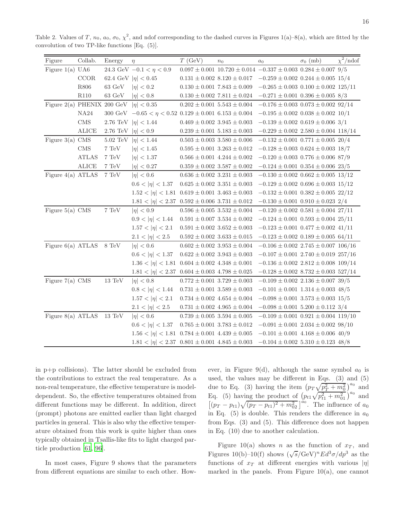| Figure                              | Collab.          | Energy                  | $\eta$                                                            | T(GeV)                              | n <sub>0</sub> | a <sub>0</sub>                                                                  | $\sigma_0$ (mb) | $\chi^2/\text{ndof}$ |
|-------------------------------------|------------------|-------------------------|-------------------------------------------------------------------|-------------------------------------|----------------|---------------------------------------------------------------------------------|-----------------|----------------------|
| Figure 1(a) $U A6$                  |                  |                         | 24.3 GeV $-0.1 < \eta < 0.9$                                      |                                     |                | $0.097 \pm 0.001$ $10.720 \pm 0.014$ $-0.337 \pm 0.003$ $0.284 \pm 0.007$ $9/5$ |                 |                      |
|                                     | CCOR             |                         | 62.4 GeV $ \eta  < 0.45$                                          |                                     |                | $0.131 \pm 0.002$ 8.120 $\pm$ 0.017 -0.259 $\pm$ 0.002 0.244 $\pm$ 0.005 15/4   |                 |                      |
|                                     | ${\bf R806}$     | $63~\mathrm{GeV}$       | $ \eta  < 0.2$                                                    | $0.130 \pm 0.001$ 7.843 $\pm$ 0.009 |                | $-0.265 \pm 0.003$ $0.100 \pm 0.002$ $125/11$                                   |                 |                      |
|                                     | R <sub>110</sub> | $63\,\, \mathrm{GeV}$   | $ \eta  < 0.8$                                                    | $0.130 \pm 0.002$ 7.811 $\pm 0.024$ |                | $-0.271 \pm 0.001$ 0.396 $\pm$ 0.005 8/3                                        |                 |                      |
| Figure 2(a) PHENIX 200 GeV          |                  |                         | $ \eta  < 0.35$                                                   | $0.202 \pm 0.001$ 5.543 $\pm$ 0.004 |                | $-0.176 \pm 0.003$ $0.073 \pm 0.002$ 92/14                                      |                 |                      |
|                                     | NA24             |                         | 300 GeV $-0.65 < \eta < 0.52$ 0.129 $\pm$ 0.001 6.153 $\pm$ 0.004 |                                     |                | $-0.195 \pm 0.002$ $0.038 \pm 0.002$ $10/1$                                     |                 |                      |
|                                     | $\rm CMS$        |                         | 2.76 TeV $ \eta  < 1.44$                                          | $0.469 \pm 0.002$ 3.945 $\pm$ 0.003 |                | $-0.139 \pm 0.002$ 0.619 $\pm$ 0.006 3/1                                        |                 |                      |
|                                     | <b>ALICE</b>     | 2.76 TeV $ \eta  < 0.9$ |                                                                   | $0.239 \pm 0.001$ 5.183 $\pm$ 0.003 |                | $-0.229 \pm 0.002$ 2.580 $\pm$ 0.004 118/14                                     |                 |                      |
| Figure $3(a)$ CMS                   |                  | $5.02~\mathrm{TeV}$     | $ \eta  < 1.44$                                                   | $0.503 \pm 0.003$ $3.580 \pm 0.006$ |                | $-0.132 \pm 0.001$ $0.771 \pm 0.005$ 20/4                                       |                 |                      |
|                                     | <b>CMS</b>       | 7 TeV                   | $ \eta  < 1.45$                                                   | $0.595 \pm 0.001$ $3.263 \pm 0.012$ |                | $-0.128 \pm 0.003$ $0.624 \pm 0.003$ 18/7                                       |                 |                      |
|                                     | <b>ATLAS</b>     | 7 TeV                   | $ \eta  < 1.37$                                                   | $0.566 \pm 0.001$ 4.244 $\pm$ 0.002 |                | $-0.120 \pm 0.003$ 0.776 $\pm$ 0.006 87/9                                       |                 |                      |
|                                     | <b>ALICE</b>     | $7~\mathrm{TeV}$        | $ \eta  < 0.27$                                                   | $0.359 \pm 0.002$ $3.587 \pm 0.002$ |                | $-0.124 \pm 0.001$ $0.354 \pm 0.006$ $23/5$                                     |                 |                      |
| Figure $4(a)$ ATLAS                 |                  | $7~\mathrm{TeV}$        | $ \eta  < 0.6$                                                    | $0.636 \pm 0.002$ 3.231 $\pm$ 0.003 |                | $-0.130 \pm 0.002$ $0.662 \pm 0.005$ $13/12$                                    |                 |                      |
|                                     |                  |                         | $0.6 <  \eta  < 1.37$                                             | $0.625 \pm 0.002$ 3.351 $\pm$ 0.003 |                | $-0.129 \pm 0.002$ $0.696 \pm 0.003$ $15/12$                                    |                 |                      |
|                                     |                  |                         | $1.52 <  \eta  < 1.81$ $0.619 \pm 0.001$ $3.463 \pm 0.003$        |                                     |                | $-0.132 \pm 0.001$ $0.382 \pm 0.005$ $22/12$                                    |                 |                      |
|                                     |                  |                         | $1.81 <  \eta  < 2.37$ $0.592 \pm 0.006$ $3.731 \pm 0.012$        |                                     |                | $-0.130 \pm 0.001$ $0.910 \pm 0.023$ 2/4                                        |                 |                      |
| Figure $5(a)$ CMS                   |                  | $7~\mathrm{TeV}$        | $ \eta  < 0.9$                                                    | $0.596 \pm 0.005$ $3.532 \pm 0.004$ |                | $-0.120 \pm 0.002$ $0.581 \pm 0.004$ 27/11                                      |                 |                      |
|                                     |                  |                         | $0.9 <  \eta  < 1.44$                                             | $0.591 \pm 0.007$ 3.534 $\pm$ 0.002 |                | $-0.124 \pm 0.001$ $0.593 \pm 0.004$ $25/11$                                    |                 |                      |
|                                     |                  |                         | $1.57 <  \eta  < 2.1$                                             | $0.591 \pm 0.002$ $3.652 \pm 0.003$ |                | $-0.123 \pm 0.001$ 0.477 $\pm$ 0.002 41/11                                      |                 |                      |
|                                     |                  |                         | $2.1 <  \eta  < 2.5$                                              | $0.592 \pm 0.002$ $3.633 \pm 0.015$ |                | $-0.123 \pm 0.002$ $0.189 \pm 0.005$ 64/11                                      |                 |                      |
| Figure $6(a)$ ATLAS $8 \text{ TeV}$ |                  |                         | $ \eta  < 0.6$                                                    | $0.602 \pm 0.002$ 3.953 $\pm$ 0.004 |                | $-0.106 \pm 0.002$ 2.745 $\pm$ 0.007 106/16                                     |                 |                      |
|                                     |                  |                         | $0.6 <  \eta  < 1.37$                                             | $0.622 \pm 0.002$ $3.943 \pm 0.003$ |                | $-0.107 \pm 0.001$ 2.740 $\pm$ 0.019 257/16                                     |                 |                      |
|                                     |                  |                         | $1.36 <  \eta  < 1.81$ 0.604 ± 0.002 4.348 ± 0.001                |                                     |                | $-0.136 \pm 0.002$ 2.812 $\pm$ 0.008 109/14                                     |                 |                      |
|                                     |                  |                         | $1.81 <  \eta  < 2.37$ 0.604 ± 0.003 4.798 ± 0.025                |                                     |                | $-0.128 \pm 0.002$ 8.732 $\pm$ 0.003 527/14                                     |                 |                      |
| Figure $7(a)$ CMS                   |                  | $13~\mathrm{TeV}$       | $ \eta  < 0.8$                                                    | $0.772 \pm 0.001$ 3.729 $\pm$ 0.003 |                | $-0.109 \pm 0.002$ 2.136 $\pm$ 0.007 39/5                                       |                 |                      |
|                                     |                  |                         | $0.8 <  \eta  < 1.44$                                             | $0.731 \pm 0.001$ $3.589 \pm 0.003$ |                | $-0.101 \pm 0.001$ 1.314 $\pm$ 0.003 48/5                                       |                 |                      |
|                                     |                  |                         | $1.57 <  \eta  < 2.1$                                             | $0.734 \pm 0.002$ $4.654 \pm 0.004$ |                | $-0.098 \pm 0.001$ 3.573 $\pm$ 0.003 15/5                                       |                 |                      |
|                                     |                  |                         | $2.1 <  \eta  < 2.5$                                              | $0.731 \pm 0.002$ 4.965 $\pm$ 0.004 |                | $-0.098 \pm 0.001$ 5.200 $\pm$ 0.112 3/4                                        |                 |                      |
| Figure 8(a) ATLAS $13 \text{ TeV}$  |                  |                         | $ \eta  < 0.6$                                                    | $0.739 \pm 0.005$ 3.594 $\pm$ 0.005 |                | $-0.109 \pm 0.001$ $0.921 \pm 0.004$ 119/10                                     |                 |                      |
|                                     |                  |                         | $0.6 <  \eta  < 1.37$                                             | $0.765 \pm 0.001$ $3.783 \pm 0.012$ |                | $-0.091 \pm 0.001$ 2.034 $\pm$ 0.002 98/10                                      |                 |                      |
|                                     |                  |                         | $1.56 <  \eta  < 1.81$ $0.784 \pm 0.001$ $4.439 \pm 0.005$        |                                     |                | $-0.101 \pm 0.001$ 4.168 $\pm$ 0.006 40/9                                       |                 |                      |
|                                     |                  |                         | $1.81 <  \eta  < 2.37$ $0.801 \pm 0.001$ $4.845 \pm 0.003$        |                                     |                | $-0.104 \pm 0.002$ 5.310 $\pm$ 0.123 48/8                                       |                 |                      |

Table 2. Values of T,  $n_0$ ,  $a_0$ ,  $\sigma_0$ ,  $\chi^2$ , and ndof corresponding to the dashed curves in Figures 1(a)–8(a), which are fitted by the convolution of two TP-like functions [Eq. (5)].

in p+p collisions). The latter should be excluded from the contributions to extract the real temperature. As a non-real temperature, the effective temperature is modeldependent. So, the effective temperatures obtained from different functions may be different. In addition, direct (prompt) photons are emitted earlier than light charged particles in general. This is also why the effective temperature obtained from this work is quite higher than ones typically obtained in Tsallis-like fits to light charged particle production [\[61,](#page-23-42) [96](#page-24-4)].

In most cases, Figure 9 shows that the parameters from different equations are similar to each other. However, in Figure 9(d), although the same symbol  $a_0$  is used, the values may be different in Eqs. (3) and (5) due to Eq. (3) having the item  $(p_T \sqrt{p_T^2 + m_0^2})^{a_0}$  and Eq. (5) having the product of  $(p_{t1}\sqrt{p_{t1}^2 + m_{01}^2})^{a_0}$  and  $[(p_T - p_{t1})\sqrt{(p_T - p_{t1})^2 + m_{02}^2}]^{\dot{a}_0}$ . The influence of  $a_0$ in Eq. (5) is double. This renders the difference in  $a_0$ from Eqs. (3) and (5). This difference does not happen in Eq. (10) due to another calculation.

Figure 10(a) shows n as the function of  $x_T$ , and Figures 10(b)–10(f) shows  $(\sqrt{s}/\text{GeV})^nEd^3\sigma/dp^3$  as the functions of  $x_T$  at different energies with various  $|\eta|$ marked in the panels. From Figure  $10(a)$ , one cannot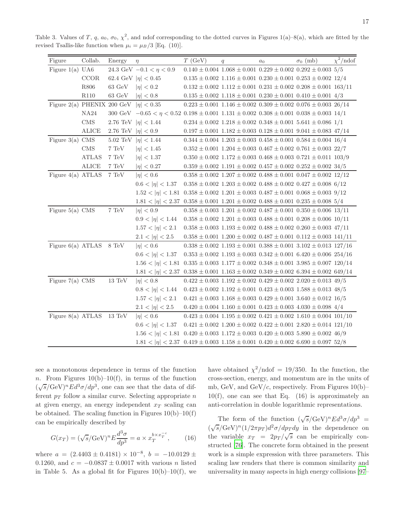Table 3. Values of T, q,  $a_0$ ,  $\sigma_0$ ,  $\chi^2$ , and ndof corresponding to the dotted curves in Figures 1(a)–8(a), which are fitted by the revised Tsallis-like function when  $\mu_i = \mu_B/3$  [Eq. (10)].

| Figure                                     | Collab.                | Energy                  | $\eta$                                                                                                     | T(GeV) | q | a <sub>0</sub> | $\sigma_0$ (mb)                                                                  | $\chi^2/\text{ndof}$ |
|--------------------------------------------|------------------------|-------------------------|------------------------------------------------------------------------------------------------------------|--------|---|----------------|----------------------------------------------------------------------------------|----------------------|
| Figure $1(a)$ UA6                          |                        |                         | 24.3 GeV $-0.1 < \eta < 0.9$                                                                               |        |   |                | $0.140 \pm 0.004$ $1.068 \pm 0.001$ $0.229 \pm 0.002$ $0.292 \pm 0.003$ $5/5$    |                      |
|                                            | CCOR                   |                         | 62.4 GeV $ \eta  < 0.45$                                                                                   |        |   |                | $0.135 \pm 0.002$ $1.116 \pm 0.001$ $0.230 \pm 0.001$ $0.253 \pm 0.002$ $12/4$   |                      |
|                                            | ${\bf R806}$           | 63 GeV $ \eta  < 0.2$   |                                                                                                            |        |   |                | $0.132 \pm 0.002$ $1.112 \pm 0.001$ $0.231 \pm 0.002$ $0.208 \pm 0.001$ $163/11$ |                      |
|                                            | R110                   | $63\,\, \mathrm{GeV}$   | $ \eta  < 0.8$                                                                                             |        |   |                | $0.135 \pm 0.002$ $1.118 \pm 0.001$ $0.230 \pm 0.001$ $0.410 \pm 0.001$ $4/3$    |                      |
| Figure 2(a) PHENIX 200 GeV $ \eta  < 0.35$ |                        |                         |                                                                                                            |        |   |                | $0.223 \pm 0.001$ 1.146 $\pm$ 0.002 0.309 $\pm$ 0.002 0.076 $\pm$ 0.003 26/14    |                      |
|                                            | NA24                   |                         | 300 GeV $-0.65 < \eta < 0.52$ 0.198 $\pm$ 0.001 1.131 $\pm$ 0.002 0.308 $\pm$ 0.001 0.038 $\pm$ 0.003 14/1 |        |   |                |                                                                                  |                      |
|                                            | $\rm CMS$              |                         | 2.76 TeV $ \eta  < 1.44$                                                                                   |        |   |                | $0.234 \pm 0.002$ $1.218 \pm 0.002$ $0.348 \pm 0.001$ $5.641 \pm 0.086$ $1/1$    |                      |
|                                            | ALICE                  | 2.76 TeV $ \eta  < 0.9$ |                                                                                                            |        |   |                | $0.197 \pm 0.001$ $1.182 \pm 0.003$ $0.128 \pm 0.001$ $9.041 \pm 0.083$ $47/14$  |                      |
| Figure $3(a)$ CMS                          |                        |                         | 5.02 TeV $ \eta  < 1.44$                                                                                   |        |   |                | $0.344 \pm 0.004$ $1.203 \pm 0.003$ $0.458 \pm 0.001$ $0.584 \pm 0.004$ $16/4$   |                      |
|                                            | $\rm CMS$              | $7~\mathrm{TeV}$        | $ \eta  < 1.45$                                                                                            |        |   |                | $0.352 \pm 0.001$ $1.204 \pm 0.003$ $0.467 \pm 0.002$ $0.761 \pm 0.003$ $22/7$   |                      |
|                                            | <b>ATLAS</b>           | $7~\mathrm{TeV}$        | $ \eta  < 1.37$                                                                                            |        |   |                | $0.350 \pm 0.002$ 1.172 $\pm$ 0.003 0.468 $\pm$ 0.003 0.721 $\pm$ 0.011 103/9    |                      |
|                                            | $\operatorname{ALICE}$ | $7~\mathrm{TeV}$        | $ \eta  < 0.27$                                                                                            |        |   |                | $0.359 \pm 0.002$ $1.191 \pm 0.002$ $0.457 \pm 0.002$ $0.252 \pm 0.002$ $34/5$   |                      |
| Figure $4(a)$ ATLAS                        |                        | $7~\mathrm{TeV}$        | $ \eta  < 0.6$                                                                                             |        |   |                | $0.358 \pm 0.002$ $1.207 \pm 0.002$ $0.488 \pm 0.001$ $0.047 \pm 0.002$ $12/12$  |                      |
|                                            |                        |                         | $0.6 <  \eta  < 1.37$                                                                                      |        |   |                | $0.358 \pm 0.002$ $1.203 \pm 0.002$ $0.488 \pm 0.002$ $0.427 \pm 0.008$ 6/12     |                      |
|                                            |                        |                         | $1.52 <  \eta  < 1.81$                                                                                     |        |   |                | $0.358 \pm 0.002\ 1.201 \pm 0.003\ 0.487 \pm 0.001\ 0.068 \pm 0.003\ 9/12$       |                      |
|                                            |                        |                         | $1.81 <  \eta  < 2.37$                                                                                     |        |   |                | $0.358 \pm 0.001$ $1.201 \pm 0.002$ $0.488 \pm 0.001$ $0.235 \pm 0.008$ $5/4$    |                      |
| Figure $5(a)$ CMS                          |                        | $7~\mathrm{TeV}$        | $ \eta  < 0.9$                                                                                             |        |   |                | $0.358 \pm 0.003$ $1.201 \pm 0.002$ $0.487 \pm 0.001$ $0.350 \pm 0.006$ $13/11$  |                      |
|                                            |                        |                         | $0.9 <  \eta  < 1.44$                                                                                      |        |   |                | $0.358 \pm 0.002$ 1.201 $\pm$ 0.003 0.488 $\pm$ 0.001 0.208 $\pm$ 0.006 10/11    |                      |
|                                            |                        |                         | $1.57 <  \eta  < 2.1$                                                                                      |        |   |                | $0.358 \pm 0.003$ $1.193 \pm 0.002$ $0.488 \pm 0.002$ $0.260 \pm 0.003$ $47/11$  |                      |
|                                            |                        |                         | $2.1 <  \eta  < 2.5$                                                                                       |        |   |                | $0.358 \pm 0.001$ $1.200 \pm 0.002$ $0.487 \pm 0.001$ $0.112 \pm 0.003$ $141/11$ |                      |
| Figure $6(a)$ ATLAS $8 \text{ TeV}$        |                        |                         | $ \eta  < 0.6$                                                                                             |        |   |                | $0.338 \pm 0.002$ $1.193 \pm 0.001$ $0.388 \pm 0.001$ $3.102 \pm 0.013$ $127/16$ |                      |
|                                            |                        |                         | $0.6 <  \eta  < 1.37$                                                                                      |        |   |                | $0.353 \pm 0.002$ $1.193 \pm 0.003$ $0.342 \pm 0.001$ $6.420 \pm 0.006$ $254/16$ |                      |
|                                            |                        |                         | $1.56 <  \eta  < 1.81$                                                                                     |        |   |                | $0.335 \pm 0.003$ $1.177 \pm 0.002$ $0.348 \pm 0.001$ $3.985 \pm 0.007$ $120/14$ |                      |
|                                            |                        |                         | $1.81 <  \eta  < 2.37$                                                                                     |        |   |                | $0.338 \pm 0.001$ $1.163 \pm 0.002$ $0.349 \pm 0.002$ $6.394 \pm 0.002$ $649/14$ |                      |
| Figure $7(a)$ CMS                          |                        | $13~\mathrm{TeV}$       | $ \eta  < 0.8$                                                                                             |        |   |                | $0.422 \pm 0.003$ $1.192 \pm 0.002$ $0.429 \pm 0.002$ $2.020 \pm 0.013$ $49/5$   |                      |
|                                            |                        |                         | $0.8 <  \eta  < 1.44$                                                                                      |        |   |                | $0.423 \pm 0.002$ $1.192 \pm 0.001$ $0.423 \pm 0.003$ $1.588 \pm 0.013$ $48/5$   |                      |
|                                            |                        |                         | $1.57 <  \eta  < 2.1$                                                                                      |        |   |                | $0.421 \pm 0.003$ $1.168 \pm 0.003$ $0.429 \pm 0.001$ $3.640 \pm 0.012$ $16/5$   |                      |
|                                            |                        |                         | $2.1 <  \eta  < 2.5$                                                                                       |        |   |                | $0.420 \pm 0.004$ 1.160 $\pm$ 0.001 0.423 $\pm$ 0.003 4.030 $\pm$ 0.098 4/4      |                      |
| Figure 8(a) ATLAS $13 \text{ TeV}$         |                        |                         | $ \eta  < 0.6$                                                                                             |        |   |                | $0.423 \pm 0.004$ 1.195 $\pm$ 0.002 0.421 $\pm$ 0.002 1.610 $\pm$ 0.004 101/10   |                      |
|                                            |                        |                         | $0.6 <  \eta  < 1.37$                                                                                      |        |   |                | $0.421 \pm 0.002$ $1.200 \pm 0.002$ $0.422 \pm 0.001$ $2.820 \pm 0.014$ $121/10$ |                      |
|                                            |                        |                         | $1.56 <  \eta  < 1.81$ $0.420 \pm 0.003$ $1.172 \pm 0.003$ $0.420 \pm 0.003$ $5.890 \pm 0.002$ $46/9$      |        |   |                |                                                                                  |                      |
|                                            |                        |                         | $1.81 <  \eta  < 2.37$ 0.419 ± 0.003 1.158 ± 0.001 0.420 ± 0.002 6.690 ± 0.097 52/8                        |        |   |                |                                                                                  |                      |

see a monotonous dependence in terms of the function n. From Figures  $10(b)-10(f)$ , in terms of the function  $(\sqrt{s}/\text{GeV})^n E d^3\sigma/dp^3$ , one can see that the data of different  $p_T$  follow a similar curve. Selecting appropriate n at given energy, an energy independent  $x_T$  scaling can be obtained. The scaling function in Figures  $10(b)-10(f)$ can be empirically described by

$$
G(x_T) = (\sqrt{s}/\text{GeV})^n E \frac{d^3 \sigma}{dp^3} = a \times x_T^{b \times x_T^{-c}}, \qquad (16)
$$

where  $a = (2.4403 \pm 0.4181) \times 10^{-8}, b = -10.0129 \pm 0.0129$ 0.1260, and  $c = -0.0837 \pm 0.0017$  with various n listed in Table 5. As a global fit for Figures  $10(b)-10(f)$ , we

have obtained  $\chi^2/\text{ndof} = 19/350$ . In the function, the cross-section, energy, and momentum are in the units of mb, GeV, and GeV/c, respectively. From Figures  $10(b)$ –  $10(f)$ , one can see that Eq. (16) is approximately an anti-correlation in double logarithmic representations.

The form of the function  $(\sqrt{s}/\text{GeV})^nEd^3\sigma/dp^3$  =  $(\sqrt{s}/\text{GeV})^n(1/2\pi p_T)d^2\sigma/dp_Tdy$  in the dependence on the variable  $x_T = 2p_T/\sqrt{s}$  can be empirically constructed [\[76\]](#page-23-26). The concrete form obtained in the present work is a simple expression with three parameters. This scaling law renders that there is common similarity and universality in many aspects in high energy collisions [\[97](#page-24-5)–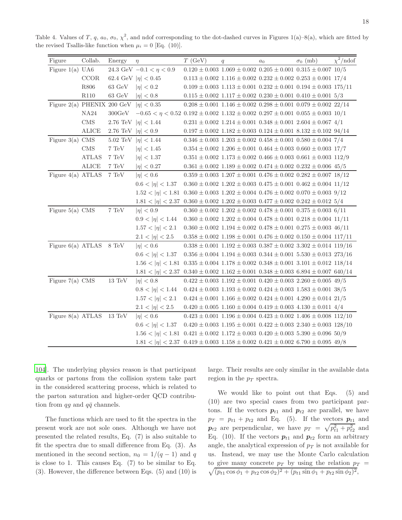| Figure                              | Collab.      | Energy                  | $\eta$                                                                                                  | T(GeV) | q                                                                                       | a <sub>0</sub> | $\sigma_0$ (mb) | $\chi^2/\text{ndof}$ |
|-------------------------------------|--------------|-------------------------|---------------------------------------------------------------------------------------------------------|--------|-----------------------------------------------------------------------------------------|----------------|-----------------|----------------------|
| Figure $1(a)$ UA6                   |              |                         | 24.3 GeV $-0.1 < \eta < 0.9$                                                                            |        | $0.120 \pm 0.003$ $1.069 \pm 0.002$ $0.205 \pm 0.001$ $0.315 \pm 0.007$ $10/5$          |                |                 |                      |
|                                     | CCOR         |                         | 62.4 GeV $ \eta  < 0.45$                                                                                |        | $0.113 \pm 0.002$ $1.116 \pm 0.002$ $0.232 \pm 0.002$ $0.253 \pm 0.001$ $17/4$          |                |                 |                      |
|                                     | R806         | 63 GeV $ \eta  < 0.2$   |                                                                                                         |        | $0.109 \pm 0.003$ $1.113 \pm 0.001$ $0.232 \pm 0.001$ $0.194 \pm 0.003$ $175/11$        |                |                 |                      |
|                                     | $\rm R110$   | $63~{\rm GeV}$          | $ \eta  < 0.8$                                                                                          |        | $0.115 \pm 0.002$ $1.117 \pm 0.002$ $0.230 \pm 0.001$ $0.410 \pm 0.001$ $5/3$           |                |                 |                      |
| Figure 2(a) PHENIX 200 GeV          |              |                         | $ \eta  < 0.35$                                                                                         |        | $0.208 \pm 0.001$ 1.146 $\pm$ 0.002 0.298 $\pm$ 0.001 0.079 $\pm$ 0.002 22/14           |                |                 |                      |
|                                     | NA24         | 300 GeV                 | $-0.65 < \eta < 0.52$ 0.192 $\pm$ 0.002 1.132 $\pm$ 0.002 0.297 $\pm$ 0.001 0.055 $\pm$ 0.003 10/1      |        |                                                                                         |                |                 |                      |
|                                     | $\rm CMS$    |                         | 2.76 TeV $ \eta  < 1.44$                                                                                |        | $0.231 \pm 0.002\,$ $1.214 \pm 0.001\,$ $0.348 \pm 0.001\,$ $2.604 \pm 0.067\,$ $4/1\,$ |                |                 |                      |
|                                     | ALICE        | 2.76 TeV $ \eta  < 0.9$ |                                                                                                         |        | $0.197 \pm 0.002$ $1.182 \pm 0.003$ $0.124 \pm 0.001$ $8.132 \pm 0.102$ $94/14$         |                |                 |                      |
| Figure $3(a)$ CMS                   |              |                         | 5.02 TeV $ \eta  < 1.44$                                                                                |        | $0.346 \pm 0.003$ $1.203 \pm 0.002$ $0.458 \pm 0.001$ $0.580 \pm 0.004$ $7/4$           |                |                 |                      |
|                                     | <b>CMS</b>   | 7 TeV                   | $ \eta  < 1.45$                                                                                         |        | $0.354 \pm 0.002$ 1.206 $\pm$ 0.001 0.464 $\pm$ 0.003 0.660 $\pm$ 0.003 17/7            |                |                 |                      |
|                                     | <b>ATLAS</b> | $7~\mathrm{TeV}$        | $ \eta  < 1.37$                                                                                         |        | $0.351 \pm 0.002$ $1.173 \pm 0.002$ $0.466 \pm 0.003$ $0.661 \pm 0.003$ $112/9$         |                |                 |                      |
|                                     | ALICE        | 7 TeV                   | $ \eta  < 0.27$                                                                                         |        | $0.361 \pm 0.002$ $1.189 \pm 0.002$ $0.474 \pm 0.002$ $0.232 \pm 0.006$ $45/5$          |                |                 |                      |
| Figure $4(a)$ ATLAS                 |              | $7~\mathrm{TeV}$        | $ \eta  < 0.6$                                                                                          |        | $0.359 \pm 0.003$ $1.207 \pm 0.001$ $0.476 \pm 0.002$ $0.282 \pm 0.007$ $18/12$         |                |                 |                      |
|                                     |              |                         | $0.6 <  \eta  < 1.37$                                                                                   |        | $0.360 \pm 0.002$ $1.202 \pm 0.003$ $0.475 \pm 0.001$ $0.462 \pm 0.004$ $11/12$         |                |                 |                      |
|                                     |              |                         | $1.52 <  \eta  < 1.81$ $0.360 \pm 0.003$ $1.202 \pm 0.004$ $0.476 \pm 0.002$ $0.070 \pm 0.003$ $9/12$   |        |                                                                                         |                |                 |                      |
|                                     |              |                         | $1.81 <  \eta  < 2.37$ $0.360 \pm 0.002$ $1.202 \pm 0.003$ $0.477 \pm 0.002$ $0.242 \pm 0.012$ $5/4$    |        |                                                                                         |                |                 |                      |
| Figure $5(a)$ CMS                   |              | $7~\mathrm{TeV}$        | $ \eta  < 0.9$                                                                                          |        | $0.360 \pm 0.002$ $1.202 \pm 0.002$ $0.478 \pm 0.001$ $0.375 \pm 0.003$ 6/11            |                |                 |                      |
|                                     |              |                         | $0.9 <  \eta  < 1.44$                                                                                   |        | $0.360 \pm 0.002$ $1.202 \pm 0.004$ $0.478 \pm 0.001$ $0.218 \pm 0.004$ $11/11$         |                |                 |                      |
|                                     |              |                         | $1.57 <  \eta  < 2.1$                                                                                   |        | $0.360 \pm 0.002$ 1.194 $\pm$ 0.002 0.478 $\pm$ 0.001 0.275 $\pm$ 0.003 46/11           |                |                 |                      |
|                                     |              |                         | $2.1 <  \eta  < 2.5$                                                                                    |        | $0.358 \pm 0.002$ $1.198 \pm 0.001$ $0.476 \pm 0.002$ $0.150 \pm 0.004$ $117/11$        |                |                 |                      |
| Figure $6(a)$ ATLAS $8 \text{ TeV}$ |              |                         | $ \eta  < 0.6$                                                                                          |        | $0.338 \pm 0.001$ $1.192 \pm 0.003$ $0.387 \pm 0.002$ $3.302 \pm 0.014$ $119/16$        |                |                 |                      |
|                                     |              |                         | $0.6 <  \eta  < 1.37$                                                                                   |        | $0.356 \pm 0.004$ 1.194 $\pm$ 0.003 0.344 $\pm$ 0.001 5.530 $\pm$ 0.013 273/16          |                |                 |                      |
|                                     |              |                         | $1.56 <  \eta  < 1.81$ $0.335 \pm 0.004$ $1.178 \pm 0.002$ $0.348 \pm 0.001$ $3.101 \pm 0.012$ $118/14$ |        |                                                                                         |                |                 |                      |
|                                     |              |                         | $1.81 <  \eta  < 2.37$ 0.340 ± 0.002 1.162 ± 0.001 0.348 ± 0.003 6.894 ± 0.007 640/14                   |        |                                                                                         |                |                 |                      |
| Figure $7(a)$ CMS                   |              | $13~\mathrm{TeV}$       | $ \eta  < 0.8$                                                                                          |        | $0.422 \pm 0.003$ $1.192 \pm 0.001$ $0.420 \pm 0.003$ $2.260 \pm 0.005$ $49/5$          |                |                 |                      |
|                                     |              |                         | $0.8 <  \eta  < 1.44$                                                                                   |        | $0.424 \pm 0.003$ $1.193 \pm 0.002$ $0.424 \pm 0.003$ $1.583 \pm 0.001$ $38/5$          |                |                 |                      |
|                                     |              |                         | $1.57 <  \eta  < 2.1$                                                                                   |        | $0.424 \pm 0.001$ $1.166 \pm 0.002$ $0.424 \pm 0.001$ $4.290 \pm 0.014$ $21/5$          |                |                 |                      |
|                                     |              |                         | $2.1 <  \eta  < 2.5$                                                                                    |        | $0.420 \pm 0.005$ 1.160 $\pm$ 0.004 0.419 $\pm$ 0.003 4.130 $\pm$ 0.011 4/4             |                |                 |                      |
| Figure 8(a) ATLAS $13 \text{ TeV}$  |              |                         | $ \eta  < 0.6$                                                                                          |        | $0.423 \pm 0.001$ 1.196 $\pm$ 0.004 0.423 $\pm$ 0.002 1.406 $\pm$ 0.008 112/10          |                |                 |                      |
|                                     |              |                         | $0.6 <  \eta  < 1.37$                                                                                   |        | $0.420 \pm 0.003$ $1.195 \pm 0.001$ $0.422 \pm 0.003$ $2.340 \pm 0.003$ $128/10$        |                |                 |                      |
|                                     |              |                         | $1.56 <  \eta  < 1.81$ 0.421 ± 0.002 1.172 ± 0.003 0.420 ± 0.003 5.390 ± 0.096 50/9                     |        |                                                                                         |                |                 |                      |
|                                     |              |                         | $1.81 <  \eta  < 2.37$ 0.419 ± 0.003 1.158 ± 0.002 0.421 ± 0.002 6.790 ± 0.095 49/8                     |        |                                                                                         |                |                 |                      |

Table 4. Values of T, q,  $a_0$ ,  $\sigma_0$ ,  $\chi^2$ , and ndof corresponding to the dot-dashed curves in Figures 1(a)–8(a), which are fitted by the revised Tsallis-like function when  $\mu_i = 0$  [Eq. (10)].

[104](#page-24-6)]. The underlying physics reason is that participant quarks or partons from the collision system take part in the considered scattering process, which is related to the parton saturation and higher-order QCD contribution from qq and  $q\bar{q}$  channels.

The functions which are used to fit the spectra in the present work are not sole ones. Although we have not presented the related results, Eq. (7) is also suitable to fit the spectra due to small difference from Eq. (3). As mentioned in the second section,  $n_0 = 1/(q-1)$  and q is close to 1. This causes Eq. (7) to be similar to Eq. (3). However, the difference between Eqs. (5) and (10) is

large. Their results are only similar in the available data region in the  $p_T$  spectra.

We would like to point out that Eqs. (5) and (10) are two special cases from two participant partons. If the vectors  $p_{t1}$  and  $p_{t2}$  are parallel, we have  $p_T = p_{t1} + p_{t2}$  and Eq. (5). If the vectors  $p_{t1}$  and  $p_{t2}$  are perpendicular, we have  $p_T = \sqrt{p_{t1}^2 + p_{t2}^2}$  and Eq. (10). If the vectors  $p_{t1}$  and  $p_{t2}$  form an arbitrary angle, the analytical expression of  $p<sub>T</sub>$  is not available for us. Instead, we may use the Monte Carlo calculation to give many concrete  $p_T$  by using the relation  $p_T =$  $\sqrt{(p_{t1}\cos\phi_1+p_{t2}\cos\phi_2)^2+(p_{t1}\sin\phi_1+p_{t2}\sin\phi_2)^2},$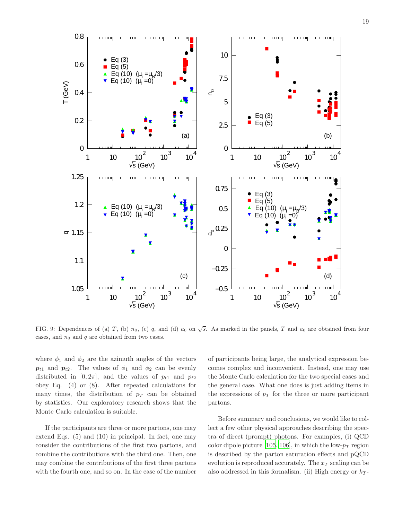

FIG. 9: Dependences of (a) T, (b)  $n_0$ , (c) q, and (d)  $a_0$  on  $\sqrt{s}$ . As marked in the panels, T and  $a_0$  are obtained from four cases, and  $n_0$  and q are obtained from two cases.

where  $\phi_1$  and  $\phi_2$  are the azimuth angles of the vectors  $p_{t1}$  and  $p_{t2}$ . The values of  $\phi_1$  and  $\phi_2$  can be evenly distributed in  $[0, 2\pi]$ , and the values of  $p_{t1}$  and  $p_{t2}$ obey Eq. (4) or (8). After repeated calculations for many times, the distribution of  $p_T$  can be obtained by statistics. Our exploratory research shows that the Monte Carlo calculation is suitable.

If the participants are three or more partons, one may extend Eqs. (5) and (10) in principal. In fact, one may consider the contributions of the first two partons, and combine the contributions with the third one. Then, one may combine the contributions of the first three partons with the fourth one, and so on. In the case of the number

of participants being large, the analytical expression becomes complex and inconvenient. Instead, one may use the Monte Carlo calculation for the two special cases and the general case. What one does is just adding items in the expressions of  $p_T$  for the three or more participant partons.

Before summary and conclusions, we would like to collect a few other physical approaches describing the spectra of direct (prompt) photons. For examples, (i) QCD color dipole picture [\[105](#page-24-7), [106\]](#page-24-8), in which the low- $p_T$  region is described by the parton saturation effects and pQCD evolution is reproduced accurately. The  $x_T$  scaling can be also addressed in this formalism. (ii) High energy or  $k_T$ -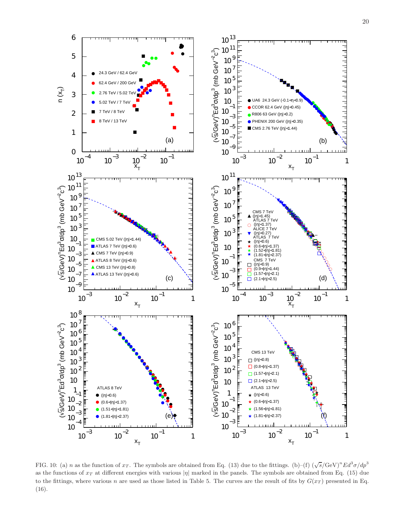

FIG. 10: (a) n as the function of  $x_T$ . The symbols are obtained from Eq. (13) due to the fittings. (b)–(f)  $(\sqrt{s}/\text{GeV})^nEd^3\sigma/dp^3$ as the functions of  $x_T$  at different energies with various  $|\eta|$  marked in the panels. The symbols are obtained from Eq. (15) due to the fittings, where various n are used as those listed in Table 5. The curves are the result of fits by  $G(x_T)$  presented in Eq. (16).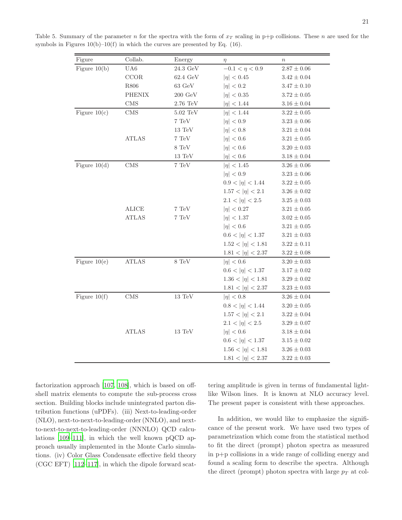| Figure         | Collab.       | Energy                  | $\eta$                 | $\, n$          |
|----------------|---------------|-------------------------|------------------------|-----------------|
| Figure $10(b)$ | UA6           | $24.3\,\, \mathrm{GeV}$ | $-0.1 < \eta < 0.9$    | $2.87\pm0.06$   |
|                | CCOR          | $62.4 \text{ GeV}$      | $ \eta  < 0.45$        | $3.42 \pm 0.04$ |
|                | ${\it R806}$  | $63 \text{ GeV}$        | $ \eta  < 0.2$         | $3.47 \pm 0.10$ |
|                | <b>PHENIX</b> | $200\,\, \mathrm{GeV}$  | $ \eta  < 0.35$        | $3.72 \pm 0.05$ |
|                | $\rm CMS$     | $2.76~\mathrm{TeV}$     | $ \eta  < 1.44$        | $3.16\pm0.04$   |
| Figure $10(c)$ | <b>CMS</b>    | $5.02~\mathrm{TeV}$     | $ \eta  < 1.44$        | $3.22\pm0.05$   |
|                |               | $7~\mathrm{TeV}$        | $ \eta  < 0.9$         | $3.23\pm0.06$   |
|                |               | $13 \text{ TeV}$        | $ \eta  < 0.8$         | $3.21 \pm 0.04$ |
|                | <b>ATLAS</b>  | $7~\mathrm{TeV}$        | $ \eta  < 0.6$         | $3.21 \pm 0.05$ |
|                |               | $8~\mathrm{TeV}$        | $ \eta  < 0.6$         | $3.20 \pm 0.03$ |
|                |               | $13~\mathrm{TeV}$       | $ \eta  < 0.6$         | $3.18\pm0.04$   |
| Figure $10(d)$ | $\rm CMS$     | $7~\mathrm{TeV}$        | $ \eta  < 1.45$        | $3.26 \pm 0.06$ |
|                |               |                         | $ \eta  < 0.9$         | $3.23\pm0.06$   |
|                |               |                         | $0.9 <  \eta  < 1.44$  | $3.22 \pm 0.05$ |
|                |               |                         | $1.57 <  \eta  < 2.1$  | $3.26 \pm 0.02$ |
|                |               |                         | $2.1 <  \eta  < 2.5$   | $3.25 \pm 0.03$ |
|                | ALICE         | $7~\mathrm{TeV}$        | $ \eta  < 0.27$        | $3.21 \pm 0.05$ |
|                | <b>ATLAS</b>  | $7~\mathrm{TeV}$        | $ \eta  < 1.37$        | $3.02\pm0.05$   |
|                |               |                         | $ \eta  < 0.6$         | $3.21 \pm 0.05$ |
|                |               |                         | $0.6 <  \eta  < 1.37$  | $3.21 \pm 0.03$ |
|                |               |                         | $1.52 <  \eta  < 1.81$ | $3.22\pm0.11$   |
|                |               |                         | $1.81 <  \eta  < 2.37$ | $3.22\pm0.08$   |
| Figure $10(e)$ | <b>ATLAS</b>  | $8~\mathrm{TeV}$        | $ \eta  < 0.6$         | $3.20 \pm 0.03$ |
|                |               |                         | $0.6 <  \eta  < 1.37$  | $3.17\pm0.02$   |
|                |               |                         | $1.36 <  \eta  < 1.81$ | $3.29 \pm 0.02$ |
|                |               |                         | $1.81 <  \eta  < 2.37$ | $3.23\pm0.03$   |
| Figure $10(f)$ | <b>CMS</b>    | $13~\mathrm{TeV}$       | $ \eta  < 0.8$         | $3.26 \pm 0.04$ |
|                |               |                         | $0.8 <  \eta  < 1.44$  | $3.20\pm0.05$   |
|                |               |                         | $1.57 <  \eta  < 2.1$  | $3.22\pm0.04$   |
|                |               |                         | $2.1 <  \eta  < 2.5$   | $3.29 \pm 0.07$ |
|                | <b>ATLAS</b>  | $13~\mathrm{TeV}$       | $ \eta  < 0.6$         | $3.18 \pm 0.04$ |
|                |               |                         | $0.6 <  \eta  < 1.37$  | $3.15 \pm 0.02$ |
|                |               |                         | $1.56 <  \eta  < 1.81$ | $3.26\pm0.03$   |
|                |               |                         | $1.81 <  \eta  < 2.37$ | $3.22\pm0.03$   |

Table 5. Summary of the parameter n for the spectra with the form of  $x_T$  scaling in p+p collisions. These n are used for the symbols in Figures  $10(b)-10(f)$  in which the curves are presented by Eq. (16).

factorization approach [\[107](#page-24-9), [108\]](#page-24-10), which is based on offshell matrix elements to compute the sub-process cross section. Building blocks include unintegrated parton distribution functions (uPDFs). (iii) Next-to-leading-order (NLO), next-to-next-to-leading-order (NNLO), and nextto-next-to-next-to-leading-order (NNNLO) QCD calculations [\[109](#page-24-11)[–111\]](#page-24-12), in which the well known pQCD approach usually implemented in the Monte Carlo simulations. (iv) Color Glass Condensate effective field theory (CGC EFT) [\[112](#page-24-13)[–117](#page-24-14)], in which the dipole forward scattering amplitude is given in terms of fundamental lightlike Wilson lines. It is known at NLO accuracy level. The present paper is consistent with these approaches.

In addition, we would like to emphasize the significance of the present work. We have used two types of parametrization which come from the statistical method to fit the direct (prompt) photon spectra as measured in p+p collisions in a wide range of colliding energy and found a scaling form to describe the spectra. Although the direct (prompt) photon spectra with large  $p_T$  at col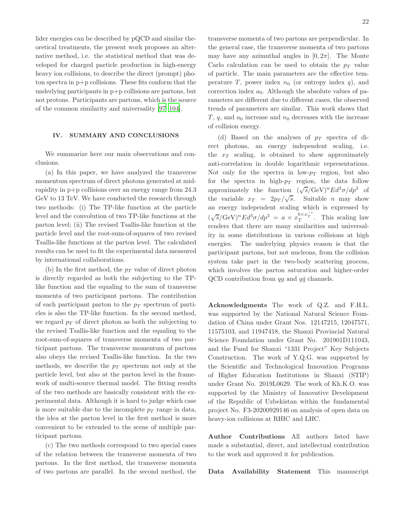lider energies can be described by pQCD and similar theoretical treatments, the present work proposes an alternative method, i.e. the statistical method that was developed for charged particle production in high-energy heavy ion collisions, to describe the direct (prompt) photon spectra in p+p collisions. These fits conform that the underlying participants in p+p collisions are partons, but not protons. Participants are partons, which is the source of the common similarity and universality [\[97](#page-24-5)[–104\]](#page-24-6).

### IV. SUMMARY AND CONCLUSIONS

We summarize here our main observations and conclusions.

(a) In this paper, we have analyzed the transverse momentum spectrum of direct photons generated at midrapidity in p+p collisions over an energy range from 24.3 GeV to 13 TeV. We have conducted the research through two methods: (i) The TP-like function at the particle level and the convolution of two TP-like functions at the parton level; (ii) The revised Tsallis-like function at the particle level and the root-sum-of-squares of two revised Tsallis-like functions at the parton level. The calculated results can be used to fit the experimental data measured by international collaborations.

(b) In the first method, the  $p_T$  value of direct photon is directly regarded as both the subjecting to the TPlike function and the equaling to the sum of transverse momenta of two participant partons. The contribution of each participant parton to the  $p_T$  spectrum of particles is also the TP-like function. In the second method, we regard  $p_T$  of direct photon as both the subjecting to the revised Tsallis-like function and the equaling to the root-sum-of-squares of transverse momenta of two participant partons. The transverse momentum of partons also obeys the revised Tsallis-like function. In the two methods, we describe the  $p_T$  spectrum not only at the particle level, but also at the parton level in the framework of multi-source thermal model. The fitting results of the two methods are basically consistent with the experimental data. Although it is hard to judge which case is more suitable due to the incomplete  $p_T$  range in data, the idea at the parton level in the first method is more convenient to be extended to the scene of multiple participant partons.

(c) The two methods correspond to two special cases of the relation between the transverse momenta of two partons. In the first method, the transverse momenta of two partons are parallel. In the second method, the

transverse momenta of two partons are perpendicular. In the general case, the transverse momenta of two partons may have any azimuthal angles in  $[0, 2\pi]$ . The Monte Carlo calculation can be used to obtain the  $p_T$  value of particle. The main parameters are the effective temperature T, power index  $n_0$  (or entropy index q), and correction index  $a_0$ . Although the absolute values of parameters are different due to different cases, the observed trends of parameters are similar. This work shows that T, q, and  $a_0$  increase and  $n_0$  decreases with the increase of collision energy.

(d) Based on the analyses of  $p_T$  spectra of direct photons, an energy independent scaling, i.e. the  $x_T$  scaling, is obtained to show approximately anti-correlation in double logarithmic representations. Not only for the spectra in low- $p_T$  region, but also for the spectra in high- $p_T$  region, the data follow approximately the function  $(\sqrt{s}/\text{GeV})^nEd^3\sigma/dp^3$  of the variable  $x_T = 2p_T/\sqrt{s}$ . Suitable *n* may show an energy independent scaling which is expressed by  $(\sqrt{s}/\text{GeV})^n E d^3\sigma/dp^3 = a \times x_T^{b \times x_T^{-c}}$ . This scaling law renders that there are many similarities and universality in some distributions in various collisions at high energies. The underlying physics reason is that the participant partons, but not nucleons, from the collision system take part in the two-body scattering process, which involves the parton saturation and higher-order QCD contribution from qq and  $q\bar{q}$  channels.

Acknowledgments The work of Q.Z. and F.H.L. was supported by the National Natural Science Foundation of China under Grant Nos. 12147215, 12047571, 11575103, and 11947418, the Shanxi Provincial Natural Science Foundation under Grant No. 201901D111043, and the Fund for Shanxi "1331 Project" Key Subjects Construction. The work of Y.Q.G. was supported by the Scientific and Technological Innovation Programs of Higher Education Institutions in Shanxi (STIP) under Grant No. 2019L0629. The work of Kh.K.O. was supported by the Ministry of Innovative Development of the Republic of Uzbekistan within the fundamental project No. F3-20200929146 on analysis of open data on heavy-ion collisions at RHIC and LHC.

Author Contributions All authors listed have made a substantial, direct, and intellectual contribution to the work and approved it for publication.

Data Availability Statement This manuscript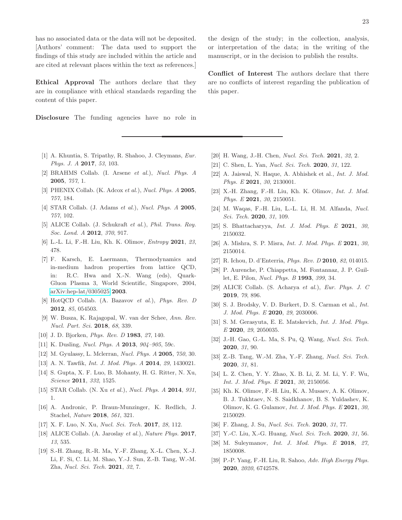has no associated data or the data will not be deposited. [Authors' comment: The data used to support the findings of this study are included within the article and are cited at relevant places within the text as references.]

Ethical Approval The authors declare that they are in compliance with ethical standards regarding the content of this paper.

Disclosure The funding agencies have no role in

- <span id="page-22-0"></span>[1] A. Khuntia, S. Tripathy, R. Shahoo, J. Cleymans, Eur. Phys. J. A **2017**, 53, 103.
- <span id="page-22-2"></span>[2] BRAHMS Collab. (I. Arsene et al.), Nucl. Phys. A 2005, 757, 1.
- [3] PHENIX Collab. (K. Adcox et al.), Nucl. Phys. A 2005, 757, 184.
- [4] STAR Collab. (J. Adams et al.), Nucl. Phys. A 2005, 757, 102.
- <span id="page-22-1"></span>[5] ALICE Collab. (J. Schukraft et al.), Phil. Trans. Roy. Soc. Lond. A 2012, 370, 917.
- <span id="page-22-3"></span>[6] L.-L. Li, F.-H. Liu, Kh. K. Olimov, *Entropy* 2021, 23, 478.
- <span id="page-22-11"></span>[7] F. Karsch, E. Laermann, Thermodynamics and in-medium hadron properties from lattice QCD, in: R.C. Hwa and X.-N. Wang (eds), Quark-Gluon Plasma 3, World Scientific, Singapore, 2004, [arXiv:hep-lat/0305025](http://arxiv.org/abs/hep-lat/0305025) 2003.
- [8] HotQCD Collab. (A. Bazavov et al.), Phys. Rev. D 2012, 85, 054503.
- <span id="page-22-4"></span>[9] W. Busza, K. Rajagopal, W. van der Schee, Ann. Rev. Nucl. Part. Sci. 2018, 68, 339.
- <span id="page-22-5"></span>[10] J. D. Bjorken, Phys. Rev. D 1983, 27, 140.
- [11] K. Dusling, *Nucl. Phys. A* **2013**,  $904-905$ , 59c.
- [12] M. Gyulassy, L. Mclerran, Nucl. Phys. A 2005, 750, 30.
- <span id="page-22-6"></span>[13] A. N. Tawfik, Int. J. Mod. Phys. A 2014, 29, 1430021.
- <span id="page-22-7"></span>[14] S. Gupta, X. F. Luo, B. Mohanty, H. G. Ritter, N. Xu, Science 2011, 332, 1525.
- <span id="page-22-9"></span>[15] STAR Collab. (N. Xu et al.), Nucl. Phys. A 2014, 931, 1.
- <span id="page-22-8"></span>[16] A. Andronic, P. Braun-Munzinger, K. Redlich, J. Stachel, Nature 2018, 561, 321.
- <span id="page-22-10"></span>[17] X. F. Luo, N. Xu, Nucl. Sci. Tech. 2017, 28, 112.
- <span id="page-22-12"></span>[18] ALICE Collab. (A. Jaroslay et al.), Nature Phys. 2017, 13, 535.
- <span id="page-22-13"></span>[19] S.-H. Zhang, R.-R. Ma, Y.-F. Zhang, X.-L. Chen, X.-J. Li, F. Si, C. Li, M. Shao, Y.-J. Sun, Z.-B. Tang, W.-M. Zha, Nucl. Sci. Tech. 2021, 32, 7.

the design of the study; in the collection, analysis, or interpretation of the data; in the writing of the manuscript, or in the decision to publish the results.

Conflict of Interest The authors declare that there are no conflicts of interest regarding the publication of this paper.

- [20] H. Wang, J.-H. Chen, *Nucl. Sci. Tech.* **2021**, 32, 2.
- [21] C. Shen, L. Yan, *Nucl. Sci. Tech.* **2020**, 31, 122.
- [22] A. Jaiswal, N. Haque, A. Abhishek et al., Int. J. Mod. Phys. E 2021, 30, 2130001.
- [23] X.-H. Zhang, F.-H. Liu, Kh. K. Olimov, Int. J. Mod. Phys. E 2021, 30, 2150051.
- [24] M. Waqas, F.-H. Liu, L.-L. Li, H. M. Alfanda, Nucl. Sci. Tech. **2020**, 31, 109.
- [25] S. Bhattacharyya, *Int. J. Mod. Phys. E* 2021, 30, 2150032.
- <span id="page-22-14"></span>[26] A. Mishra, S. P. Misra, *Int. J. Mod. Phys. E* 2021, 30, 2150014.
- <span id="page-22-15"></span>[27] R. Ichou, D. d'Enterria, Phys. Rev. D 2010, 82, 014015.
- <span id="page-22-16"></span>[28] P. Aurenche, P. Chiappetta, M. Fontannaz, J. P. Guillet, E. Pilon, Nucl. Phys. B 1993, 399, 34.
- <span id="page-22-17"></span>[29] ALICE Collab. (S. Acharya et al.), Eur. Phys. J. C 2019, 79, 896.
- <span id="page-22-18"></span>[30] S. J. Brodsky, V. D. Burkert, D. S. Carman et al., Int. J. Mod. Phys. E 2020, 29, 2030006.
- [31] S. M. Gerasyuta, E. E. Matskevich, Int. J. Mod. Phys. E 2020, 29, 2050035.
- [32] J.-H. Gao, G.-L. Ma, S. Pu, Q. Wang, Nucl. Sci. Tech. 2020, 31, 90.
- [33] Z.-B. Tang, W.-M. Zha, Y.-F. Zhang, Nucl. Sci. Tech. 2020, 31, 81.
- [34] L. Z. Chen, Y. Y. Zhao, X. B. Li, Z. M. Li, Y. F. Wu, Int. J. Mod. Phys. E 2021, 30, 2150056.
- [35] Kh. K. Olimov, F.-H. Liu, K. A. Musaev, A. K. Olimov, B. J. Tukhtaev, N. S. Saidkhanov, B. S. Yuldashev, K. Olimov, K. G. Gulamov, Int. J. Mod. Phys. E 2021, 30, 2150029.
- [36] F. Zhang, J. Su, *Nucl. Sci. Tech.* **2020**, 31, 77.
- <span id="page-22-19"></span>[37] Y.-C. Liu, X.-G. Huang, Nucl. Sci. Tech. 2020, 31, 56.
- <span id="page-22-20"></span>[38] M. Suleymanov, Int. J. Mod. Phys. E 2018, 27, 1850008.
- <span id="page-22-21"></span>[39] P.-P. Yang, F.-H. Liu, R. Sahoo, Adv. High Energy Phys. 2020, 2020, 6742578.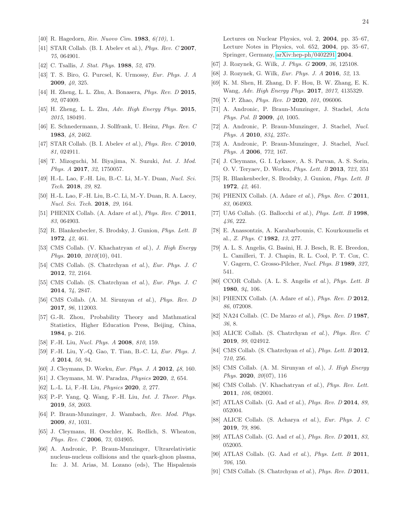- <span id="page-23-0"></span>[40] R. Hagedorn, Riv. Nuovo Cim. 1983, 6(10), 1.
- <span id="page-23-1"></span>[41] STAR Collab. (B. I. Abelev et al.), *Phys. Rev. C* **2007**, 75, 064901.
- <span id="page-23-2"></span>[42] C. Tsallis, *J. Stat. Phys.* **1988**, 52, 479.
- <span id="page-23-16"></span>[43] T. S. Biro, G. Purcsel, K. Urmossy, Eur. Phys. J. A 2009, 40, 325.
- [44] H. Zheng, L. L. Zhu, A. Bonasera, *Phys. Rev. D* 2015, 92, 074009.
- <span id="page-23-3"></span>[45] H. Zheng, L. L. Zhu, Adv. High Energy Phys. 2015, 2015, 180491.
- <span id="page-23-4"></span>[46] E. Schnedermann, J. Sollfrank, U. Heinz, Phys. Rev. C 1983, 48, 2462.
- <span id="page-23-5"></span>[47] STAR Collab. (B. I. Abelev et al.), *Phys. Rev. C* 2010, 81, 024911.
- <span id="page-23-6"></span>[48] T. Mizoguchi, M. Biyajima, N. Suzuki, Int. J. Mod. Phys. A 2017, 32, 1750057.
- <span id="page-23-7"></span>[49] H.-L. Lao, F.-H. Liu, B.-C. Li, M.-Y. Duan, Nucl. Sci. Tech. 2018, 29, 82.
- <span id="page-23-8"></span>[50] H.-L. Lao, F.-H. Liu, B.-C. Li, M.-Y. Duan, R. A. Lacey, Nucl. Sci. Tech. 2018, 29, 164.
- <span id="page-23-9"></span>[51] PHENIX Collab. (A. Adare et al.), Phys. Rev. C 2011, 83, 064903.
- <span id="page-23-10"></span>[52] R. Blankenbecler, S. Brodsky, J. Gunion, Phys. Lett. B 1972, 42, 461.
- <span id="page-23-11"></span>[53] CMS Collab. (V. Khachatryan et al.), J. High Energy Phys. 2010,  $2010(10)$ , 041.
- [54] CMS Collab. (S. Chatrchyan et al.), Eur. Phys. J. C 2012, 72, 2164.
- [55] CMS Collab. (S. Chatrchyan et al.), Eur. Phys. J. C 2014, 74, 2847.
- <span id="page-23-12"></span>[56] CMS Collab. (A. M. Sirunyan et al.), Phys. Rev. D 2017, 96, 112003.
- <span id="page-23-13"></span>[57] G.-R. Zhou, Probability Theory and Mathmatical Statistics, Higher Education Press, Beijing, China, 1984, p. 216.
- <span id="page-23-14"></span>[58] F.-H. Liu, Nucl. Phys. A 2008, 810, 159.
- <span id="page-23-15"></span>[59] F.-H. Liu, Y.-Q. Gao, T. Tian, B.-C. Li, Eur. Phys. J. A 2014, 50, 94.
- <span id="page-23-17"></span>[60] J. Cleymans, D. Worku, Eur. Phys. J. A 2012, 48, 160.
- <span id="page-23-42"></span>[61] J. Cleymans, M. W. Paradza, Physics 2020, 2, 654.
- <span id="page-23-18"></span>[62] L.-L. Li, F.-H. Liu, *Physics* **2020**, 2, 277.
- <span id="page-23-19"></span>[63] P.-P. Yang, Q. Wang, F.-H. Liu, Int. J. Theor. Phys. 2019, 58, 2603.
- <span id="page-23-20"></span>[64] P. Braun-Munzinger, J. Wambach, Rev. Mod. Phys. 2009, 81, 1031.
- [65] J. Cleymans, H. Oeschler, K. Redlich, S. Wheaton, Phys. Rev. C 2006, 73, 034905.
- [66] A. Andronic, P. Braun-Munzinger, Ultrarelativistic nucleus-nucleus collisions and the quark-gluon plasma, In: J. M. Arias, M. Lozano (eds), The Hispalensis

Lectures on Nuclear Physics, vol. 2, 2004, pp. 35–67, Lecture Notes in Physics, vol. 652, 2004, pp. 35–67, Springer, Germany, [arXiv:hep-ph/0402291](http://arxiv.org/abs/hep-ph/0402291) 2004.

- [67] J. Rozynek, G. Wilk, J. Phys. G 2009, 36, 125108.
- [68] J. Rozynek, G. Wilk, *Eur. Phys. J. A* **2016**, 52, 13.
- [69] K. M. Shen, H. Zhang, D. F. Hou, B. W. Zhang, E. K. Wang, Adv. High Energy Phys. 2017, 2017, 4135329.
- <span id="page-23-21"></span>[70] Y. P. Zhao, *Phys. Rev. D* 2020, 101, 096006.
- <span id="page-23-22"></span>[71] A. Andronic, P. Braun-Munzinger, J. Stachel, Acta Phys. Pol. B 2009, 40, 1005.
- [72] A. Andronic, P. Braun-Munzinger, J. Stachel, Nucl. Phys. A **2010**, 834, 237c.
- <span id="page-23-23"></span>[73] A. Andronic, P. Braun-Munzinger, J. Stachel, Nucl. Phys. A 2006, 772, 167.
- <span id="page-23-24"></span>[74] J. Cleymans, G. I. Lykasov, A. S. Parvan, A. S. Sorin, O. V. Teryaev, D. Worku, *Phys. Lett. B* 2013, 723, 351
- <span id="page-23-25"></span>[75] R. Blankenbecler, S. Brodsky, J. Gunion, Phys. Lett. B 1972, 42, 461.
- <span id="page-23-26"></span>[76] PHENIX Collab. (A. Adare et al.), Phys. Rev.  $C$  2011, 83, 064903.
- <span id="page-23-27"></span>[77] UA6 Collab. (G. Ballocchi et al.), Phys. Lett.  $B$  1998, 436, 222.
- <span id="page-23-28"></span>[78] E. Anassontzis, A. Karabarbounis, C. Kourkoumelis et al., Z. Phys. C 1982, 13, 277.
- <span id="page-23-29"></span>[79] A. L. S. Angelis, G. Basini, H. J. Besch, R. E. Breedon, L. Camilleri, T. J. Chapin, R. L. Cool, P. T. Cox, C. V. Gagern, C. Grosso-Pilcher, Nucl. Phys. B 1989, 327, 541.
- <span id="page-23-30"></span>[80] CCOR Collab. (A. L. S. Angelis et al.), Phys. Lett. B 1980, 94, 106.
- <span id="page-23-31"></span>[81] PHENIX Collab. (A. Adare et al.), *Phys. Rev. D* 2012, 86, 072008.
- <span id="page-23-32"></span>[82] NA24 Collab. (C. De Marzo et al.), *Phys. Rev. D* 1987, 36, 8.
- <span id="page-23-33"></span>[83] ALICE Collab. (S. Chatrchyan et al.), Phys. Rev. C 2019, 99, 024912.
- <span id="page-23-34"></span>[84] CMS Collab. (S. Chatrchyan et al.), Phys. Lett. B 2012, 710, 256.
- <span id="page-23-35"></span>[85] CMS Collab. (A. M. Sirunyan et al.), J. High Energy Phys. **2020**, *20*(07), 116
- <span id="page-23-36"></span>[86] CMS Collab. (V. Khachatryan et al.), Phys. Rev. Lett. 2011, 106, 082001.
- <span id="page-23-37"></span>[87] ATLAS Collab. (G. Aad et al.), *Phys. Rev. D* 2014, 89, 052004.
- <span id="page-23-38"></span>[88] ALICE Collab. (S. Acharya et al.), Eur. Phys. J. C 2019, 79, 896.
- <span id="page-23-39"></span>[89] ATLAS Collab. (G. Aad et al.), Phys. Rev. D 2011, 83, 052005.
- <span id="page-23-40"></span>[90] ATLAS Collab. (G. Aad et al.), Phys. Lett. B 2011, 706, 150.
- <span id="page-23-41"></span>[91] CMS Collab. (S. Chatrchyan et al.), Phys. Rev. D 2011,